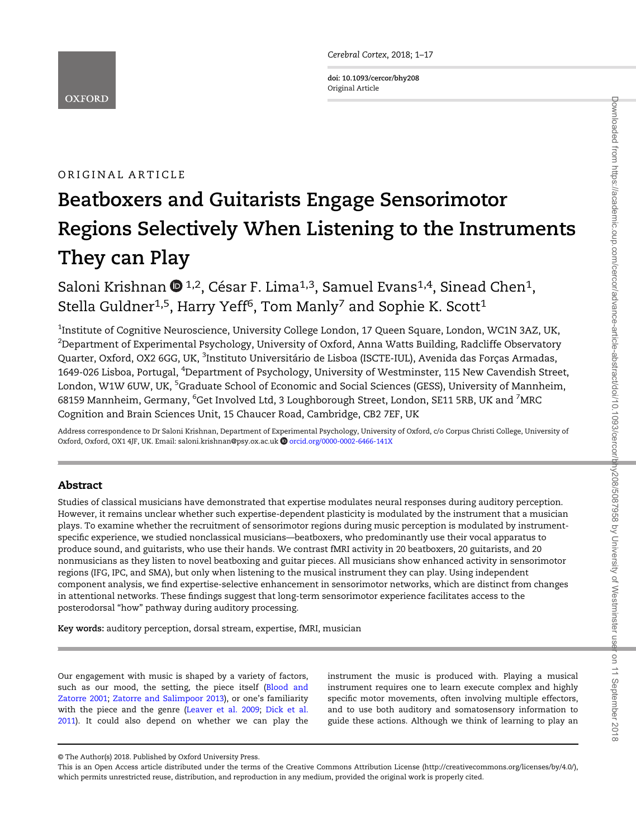Cerebral Cortex, 2018; 1–17

doi: 10.1093/cercor/bhy208 Original Article

# ORIGINAL ARTICLE

# Beatboxers and Guitarists Engage Sensorimotor Regions Selectively When Listening to the Instruments They can Play

Saloni Krishnan  $\mathbf{D}^{1,2}$ , César F. Lima<sup>1,3</sup>, Samuel Evans<sup>1,4</sup>, Sinead Chen<sup>1</sup>, Stella Guldner<sup>1,5</sup>, Harry Yeff<sup>6</sup>, Tom Manly<sup>7</sup> and Sophie K. Scott<sup>1</sup>

<sup>1</sup>Institute of Cognitive Neuroscience, University College London, 17 Queen Square, London, WC1N 3AZ, UK,  $^2$ Department of Experimental Psychology, University of Oxford, Anna Watts Building, Radcliffe Observatory Quarter, Oxford, OX2 6GG, UK, <sup>3</sup>Instituto Universitário de Lisboa (ISCTE-IUL), Avenida das Forças Armadas, 1649-026 Lisboa, Portugal, <sup>4</sup>Department of Psychology, University of Westminster, 115 New Cavendish Street, London, W1W 6UW, UK, <sup>5</sup>Graduate School of Economic and Social Sciences (GESS), University of Mannheim, 68159 Mannheim, Germany,  $^6$ Get Involved Ltd, 3 Loughborough Street, London, SE11 5RB, UK and  $^7$ MRC Cognition and Brain Sciences Unit, 15 Chaucer Road, Cambridge, CB2 7EF, UK

Address correspondence to Dr Saloni Krishnan, Department of Experimental Psychology, University of Oxford, c/o Corpus Christi College, University of Oxford, Oxford, OX1 4JF, UK. Email: saloni.[k](http://orcid.org/0000-0002-6466-141X)rishnan@psy.ox.ac.uk <sup>@</sup>[orcid.org/0000-0002-6466-141X](http://orcid.org/0000-0002-6466-141X)

# Abstract

Studies of classical musicians have demonstrated that expertise modulates neural responses during auditory perception. However, it remains unclear whether such expertise-dependent plasticity is modulated by the instrument that a musician plays. To examine whether the recruitment of sensorimotor regions during music perception is modulated by instrumentspecific experience, we studied nonclassical musicians—beatboxers, who predominantly use their vocal apparatus to produce sound, and guitarists, who use their hands. We contrast fMRI activity in 20 beatboxers, 20 guitarists, and 20 nonmusicians as they listen to novel beatboxing and guitar pieces. All musicians show enhanced activity in sensorimotor regions (IFG, IPC, and SMA), but only when listening to the musical instrument they can play. Using independent component analysis, we find expertise-selective enhancement in sensorimotor networks, which are distinct from changes in attentional networks. These findings suggest that long-term sensorimotor experience facilitates access to the posterodorsal "how" pathway during auditory processing.

Key words: auditory perception, dorsal stream, expertise, fMRI, musician

Our engagement with music is shaped by a variety of factors, such as our mood, the setting, the piece itself ([Blood and](#page-14-0) [Zatorre 2001](#page-14-0); [Zatorre and Salimpoor 2013](#page-16-0)), or one's familiarity with the piece and the genre [\(Leaver et al. 2009](#page-15-0); [Dick et al.](#page-14-0) [2011\)](#page-14-0). It could also depend on whether we can play the instrument the music is produced with. Playing a musical instrument requires one to learn execute complex and highly specific motor movements, often involving multiple effectors, and to use both auditory and somatosensory information to guide these actions. Although we think of learning to play an

© The Author(s) 2018. Published by Oxford University Press.

This is an Open Access article distributed under the terms of the Creative Commons Attribution License [\(http://creativecommons.org/licenses/by/4.0/](http://creativecommons.org/licenses/by/4.0/)), which permits unrestricted reuse, distribution, and reproduction in any medium, provided the original work is properly cited.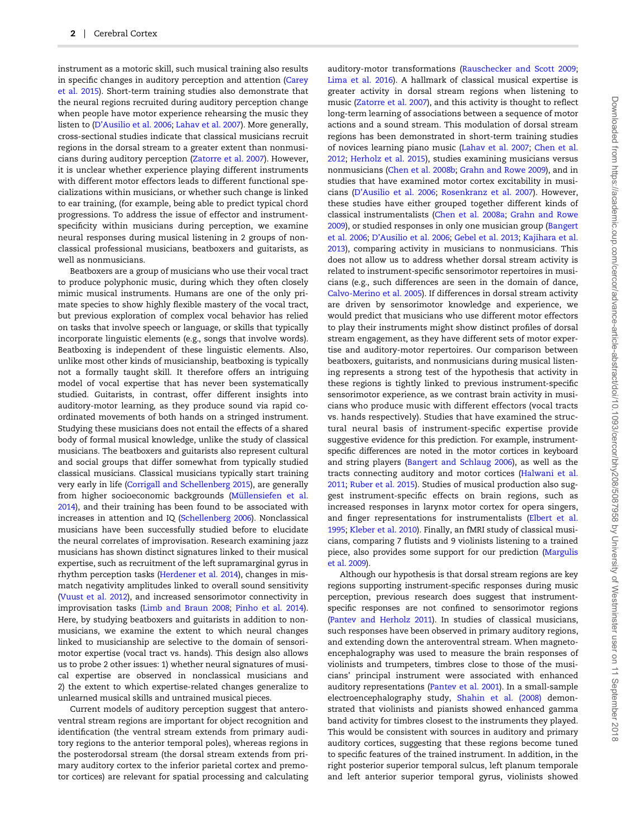instrument as a motoric skill, such musical training also results in specific changes in auditory perception and attention [\(Carey](#page-14-0) [et al. 2015](#page-14-0)). Short-term training studies also demonstrate that the neural regions recruited during auditory perception change when people have motor experience rehearsing the music they listen to (D'[Ausilio et al. 2006](#page-14-0); [Lahav et al. 2007\)](#page-15-0). More generally, cross-sectional studies indicate that classical musicians recruit regions in the dorsal stream to a greater extent than nonmusicians during auditory perception ([Zatorre et al. 2007\)](#page-16-0). However, it is unclear whether experience playing different instruments with different motor effectors leads to different functional specializations within musicians, or whether such change is linked to ear training, (for example, being able to predict typical chord progressions. To address the issue of effector and instrumentspecificity within musicians during perception, we examine neural responses during musical listening in 2 groups of nonclassical professional musicians, beatboxers and guitarists, as well as nonmusicians.

Beatboxers are a group of musicians who use their vocal tract to produce polyphonic music, during which they often closely mimic musical instruments. Humans are one of the only primate species to show highly flexible mastery of the vocal tract, but previous exploration of complex vocal behavior has relied on tasks that involve speech or language, or skills that typically incorporate linguistic elements (e.g., songs that involve words). Beatboxing is independent of these linguistic elements. Also, unlike most other kinds of musicianship, beatboxing is typically not a formally taught skill. It therefore offers an intriguing model of vocal expertise that has never been systematically studied. Guitarists, in contrast, offer different insights into auditory-motor learning, as they produce sound via rapid coordinated movements of both hands on a stringed instrument. Studying these musicians does not entail the effects of a shared body of formal musical knowledge, unlike the study of classical musicians. The beatboxers and guitarists also represent cultural and social groups that differ somewhat from typically studied classical musicians. Classical musicians typically start training very early in life ([Corrigall and Schellenberg 2015\)](#page-14-0), are generally from higher socioeconomic backgrounds [\(Müllensiefen et al.](#page-15-0) [2014](#page-15-0)), and their training has been found to be associated with increases in attention and IQ ([Schellenberg 2006\)](#page-15-0). Nonclassical musicians have been successfully studied before to elucidate the neural correlates of improvisation. Research examining jazz musicians has shown distinct signatures linked to their musical expertise, such as recruitment of the left supramarginal gyrus in rhythm perception tasks [\(Herdener et al. 2014](#page-15-0)), changes in mismatch negativity amplitudes linked to overall sound sensitivity [\(Vuust et al. 2012\)](#page-16-0), and increased sensorimotor connectivity in improvisation tasks [\(Limb and Braun 2008](#page-15-0); [Pinho et al. 2014\)](#page-15-0). Here, by studying beatboxers and guitarists in addition to nonmusicians, we examine the extent to which neural changes linked to musicianship are selective to the domain of sensorimotor expertise (vocal tract vs. hands). This design also allows us to probe 2 other issues: 1) whether neural signatures of musical expertise are observed in nonclassical musicians and 2) the extent to which expertise-related changes generalize to unlearned musical skills and untrained musical pieces.

Current models of auditory perception suggest that anteroventral stream regions are important for object recognition and identification (the ventral stream extends from primary auditory regions to the anterior temporal poles), whereas regions in the posterodorsal stream (the dorsal stream extends from primary auditory cortex to the inferior parietal cortex and premotor cortices) are relevant for spatial processing and calculating

auditory-motor transformations ([Rauschecker and Scott 2009;](#page-15-0) [Lima et al. 2016\)](#page-15-0). A hallmark of classical musical expertise is greater activity in dorsal stream regions when listening to music ([Zatorre et al. 2007\)](#page-16-0), and this activity is thought to reflect long-term learning of associations between a sequence of motor actions and a sound stream. This modulation of dorsal stream regions has been demonstrated in short-term training studies of novices learning piano music [\(Lahav et al. 2007](#page-15-0); [Chen et al.](#page-14-0) [2012](#page-14-0); [Herholz et al. 2015](#page-15-0)), studies examining musicians versus nonmusicians [\(Chen et al. 2008b](#page-14-0); [Grahn and Rowe 2009\)](#page-14-0), and in studies that have examined motor cortex excitability in musicians (D'[Ausilio et al. 2006;](#page-14-0) [Rosenkranz et al. 2007\)](#page-15-0). However, these studies have either grouped together different kinds of classical instrumentalists [\(Chen et al. 2008a;](#page-14-0) [Grahn and Rowe](#page-14-0) [2009](#page-14-0)), or studied responses in only one musician group ([Bangert](#page-14-0) [et al. 2006;](#page-14-0) D'[Ausilio et al. 2006;](#page-14-0) [Gebel et al. 2013](#page-14-0); [Kajihara et al.](#page-15-0) [2013](#page-15-0)), comparing activity in musicians to nonmusicians. This does not allow us to address whether dorsal stream activity is related to instrument-specific sensorimotor repertoires in musicians (e.g., such differences are seen in the domain of dance, [Calvo-Merino et al. 2005](#page-14-0)). If differences in dorsal stream activity are driven by sensorimotor knowledge and experience, we would predict that musicians who use different motor effectors to play their instruments might show distinct profiles of dorsal stream engagement, as they have different sets of motor expertise and auditory-motor repertoires. Our comparison between beatboxers, guitarists, and nonmusicians during musical listening represents a strong test of the hypothesis that activity in these regions is tightly linked to previous instrument-specific sensorimotor experience, as we contrast brain activity in musicians who produce music with different effectors (vocal tracts vs. hands respectively). Studies that have examined the structural neural basis of instrument-specific expertise provide suggestive evidence for this prediction. For example, instrumentspecific differences are noted in the motor cortices in keyboard and string players ([Bangert and Schlaug 2006](#page-14-0)), as well as the tracts connecting auditory and motor cortices ([Halwani et al.](#page-15-0) [2011;](#page-15-0) [Ruber et al. 2015\)](#page-15-0). Studies of musical production also suggest instrument-specific effects on brain regions, such as increased responses in larynx motor cortex for opera singers, and finger representations for instrumentalists [\(Elbert et al.](#page-14-0) [1995;](#page-14-0) [Kleber et al. 2010](#page-15-0)). Finally, an fMRI study of classical musicians, comparing 7 flutists and 9 violinists listening to a trained piece, also provides some support for our prediction ([Margulis](#page-15-0) [et al. 2009\)](#page-15-0).

Although our hypothesis is that dorsal stream regions are key regions supporting instrument-specific responses during music perception, previous research does suggest that instrumentspecific responses are not confined to sensorimotor regions [\(Pantev and Herholz 2011\)](#page-15-0). In studies of classical musicians, such responses have been observed in primary auditory regions, and extending down the anteroventral stream. When magnetoencephalography was used to measure the brain responses of violinists and trumpeters, timbres close to those of the musicians' principal instrument were associated with enhanced auditory representations ([Pantev et al. 2001](#page-15-0)). In a small-sample electroencephalography study, [Shahin et al. \(2008\)](#page-16-0) demonstrated that violinists and pianists showed enhanced gamma band activity for timbres closest to the instruments they played. This would be consistent with sources in auditory and primary auditory cortices, suggesting that these regions become tuned to specific features of the trained instrument. In addition, in the right posterior superior temporal sulcus, left planum temporale and left anterior superior temporal gyrus, violinists showed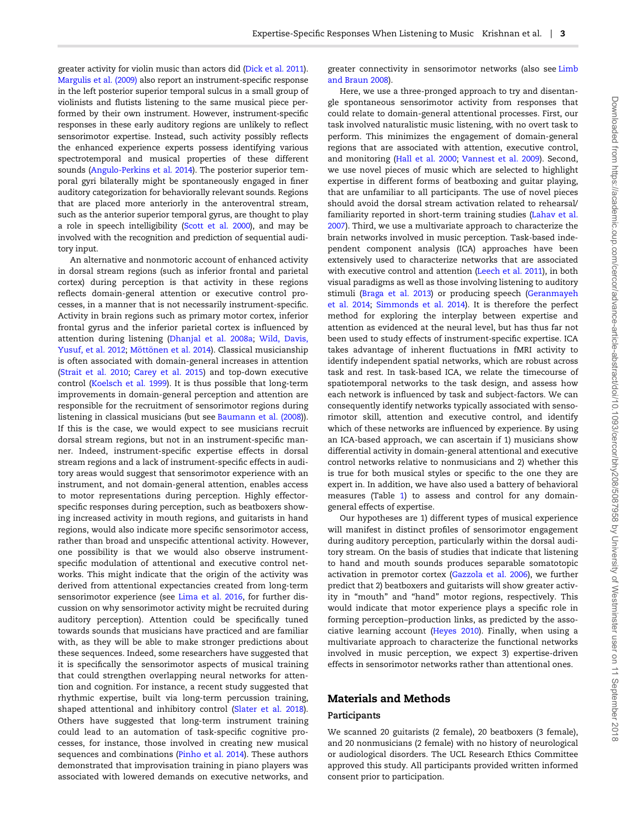greater activity for violin music than actors did [\(Dick et al. 2011\)](#page-14-0). [Margulis et al. \(2009\)](#page-15-0) also report an instrument-specific response in the left posterior superior temporal sulcus in a small group of violinists and flutists listening to the same musical piece performed by their own instrument. However, instrument-specific responses in these early auditory regions are unlikely to reflect sensorimotor expertise. Instead, such activity possibly reflects the enhanced experience experts possess identifying various spectrotemporal and musical properties of these different sounds ([Angulo-Perkins et al. 2014\)](#page-14-0). The posterior superior temporal gyri bilaterally might be spontaneously engaged in finer auditory categorization for behaviorally relevant sounds. Regions that are placed more anteriorly in the anteroventral stream, such as the anterior superior temporal gyrus, are thought to play a role in speech intelligibility ([Scott et al. 2000\)](#page-16-0), and may be involved with the recognition and prediction of sequential auditory input.

An alternative and nonmotoric account of enhanced activity in dorsal stream regions (such as inferior frontal and parietal cortex) during perception is that activity in these regions reflects domain-general attention or executive control processes, in a manner that is not necessarily instrument-specific. Activity in brain regions such as primary motor cortex, inferior frontal gyrus and the inferior parietal cortex is influenced by attention during listening ([Dhanjal et al. 2008a](#page-14-0); [Wild, Davis,](#page-16-0) [Yusuf, et al. 2012](#page-16-0); [Möttönen et al. 2014\)](#page-15-0). Classical musicianship is often associated with domain-general increases in attention [\(Strait et al. 2010;](#page-16-0) [Carey et al. 2015\)](#page-14-0) and top-down executive control [\(Koelsch et al. 1999\)](#page-15-0). It is thus possible that long-term improvements in domain-general perception and attention are responsible for the recruitment of sensorimotor regions during listening in classical musicians (but see [Baumann et al. \(2008](#page-14-0))). If this is the case, we would expect to see musicians recruit dorsal stream regions, but not in an instrument-specific manner. Indeed, instrument-specific expertise effects in dorsal stream regions and a lack of instrument-specific effects in auditory areas would suggest that sensorimotor experience with an instrument, and not domain-general attention, enables access to motor representations during perception. Highly effectorspecific responses during perception, such as beatboxers showing increased activity in mouth regions, and guitarists in hand regions, would also indicate more specific sensorimotor access, rather than broad and unspecific attentional activity. However, one possibility is that we would also observe instrumentspecific modulation of attentional and executive control networks. This might indicate that the origin of the activity was derived from attentional expectancies created from long-term sensorimotor experience (see [Lima et al. 2016,](#page-15-0) for further discussion on why sensorimotor activity might be recruited during auditory perception). Attention could be specifically tuned towards sounds that musicians have practiced and are familiar with, as they will be able to make stronger predictions about these sequences. Indeed, some researchers have suggested that it is specifically the sensorimotor aspects of musical training that could strengthen overlapping neural networks for attention and cognition. For instance, a recent study suggested that rhythmic expertise, built via long-term percussion training, shaped attentional and inhibitory control ([Slater et al. 2018\)](#page-16-0). Others have suggested that long-term instrument training could lead to an automation of task-specific cognitive processes, for instance, those involved in creating new musical sequences and combinations ([Pinho et al. 2014\)](#page-15-0). These authors demonstrated that improvisation training in piano players was associated with lowered demands on executive networks, and

greater connectivity in sensorimotor networks (also see [Limb](#page-15-0) [and Braun 2008\)](#page-15-0).

Here, we use a three-pronged approach to try and disentangle spontaneous sensorimotor activity from responses that could relate to domain-general attentional processes. First, our task involved naturalistic music listening, with no overt task to perform. This minimizes the engagement of domain-general regions that are associated with attention, executive control, and monitoring ([Hall et al. 2000;](#page-15-0) [Vannest et al. 2009\)](#page-16-0). Second, we use novel pieces of music which are selected to highlight expertise in different forms of beatboxing and guitar playing, that are unfamiliar to all participants. The use of novel pieces should avoid the dorsal stream activation related to rehearsal/ familiarity reported in short-term training studies ([Lahav et al.](#page-15-0) [2007](#page-15-0)). Third, we use a multivariate approach to characterize the brain networks involved in music perception. Task-based independent component analysis (ICA) approaches have been extensively used to characterize networks that are associated with executive control and attention ([Leech et al. 2011\)](#page-15-0), in both visual paradigms as well as those involving listening to auditory stimuli [\(Braga et al. 2013\)](#page-14-0) or producing speech [\(Geranmayeh](#page-14-0) [et al. 2014;](#page-14-0) [Simmonds et al. 2014](#page-16-0)). It is therefore the perfect method for exploring the interplay between expertise and attention as evidenced at the neural level, but has thus far not been used to study effects of instrument-specific expertise. ICA takes advantage of inherent fluctuations in fMRI activity to identify independent spatial networks, which are robust across task and rest. In task-based ICA, we relate the timecourse of spatiotemporal networks to the task design, and assess how each network is influenced by task and subject-factors. We can consequently identify networks typically associated with sensorimotor skill, attention and executive control, and identify which of these networks are influenced by experience. By using an ICA-based approach, we can ascertain if 1) musicians show differential activity in domain-general attentional and executive control networks relative to nonmusicians and 2) whether this is true for both musical styles or specific to the one they are expert in. In addition, we have also used a battery of behavioral measures (Table [1\)](#page-3-0) to assess and control for any domaingeneral effects of expertise.

Our hypotheses are 1) different types of musical experience will manifest in distinct profiles of sensorimotor engagement during auditory perception, particularly within the dorsal auditory stream. On the basis of studies that indicate that listening to hand and mouth sounds produces separable somatotopic activation in premotor cortex [\(Gazzola et al. 2006\)](#page-14-0), we further predict that 2) beatboxers and guitarists will show greater activity in "mouth" and "hand" motor regions, respectively. This would indicate that motor experience plays a specific role in forming perception–production links, as predicted by the associative learning account [\(Heyes 2010](#page-15-0)). Finally, when using a multivariate approach to characterize the functional networks involved in music perception, we expect 3) expertise-driven effects in sensorimotor networks rather than attentional ones.

# Materials and Methods

## Participants

We scanned 20 guitarists (2 female), 20 beatboxers (3 female), and 20 nonmusicians (2 female) with no history of neurological or audiological disorders. The UCL Research Ethics Committee approved this study. All participants provided written informed consent prior to participation.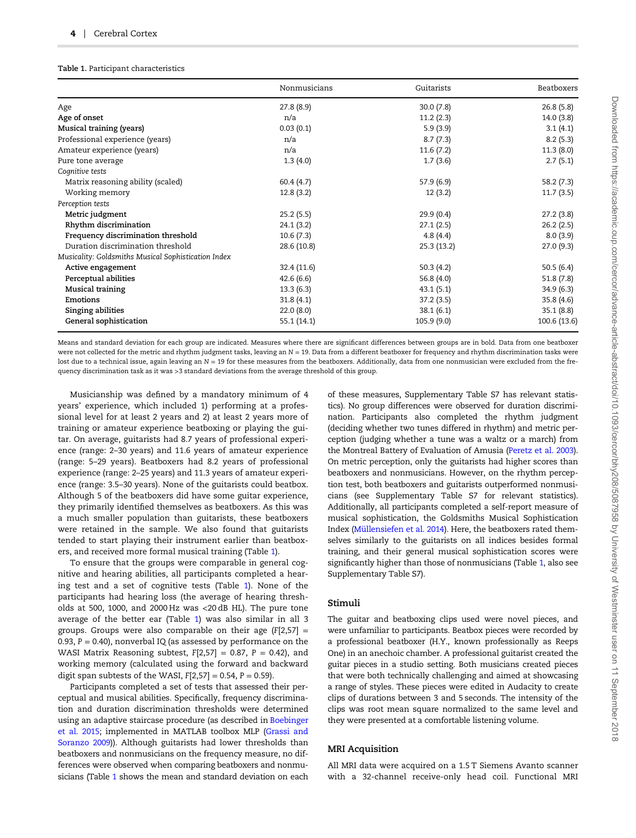#### <span id="page-3-0"></span>Table 1. Participant characteristics

|                                                     | Nonmusicians | Guitarists   | Beatboxers   |
|-----------------------------------------------------|--------------|--------------|--------------|
| Age                                                 | 27.8(8.9)    | 30.0(7.8)    | 26.8(5.8)    |
| Age of onset                                        | n/a          | 11.2(2.3)    | 14.0(3.8)    |
| Musical training (years)                            | 0.03(0.1)    | 5.9(3.9)     | 3.1(4.1)     |
| Professional experience (years)                     | n/a          | 8.7(7.3)     | 8.2(5.3)     |
| Amateur experience (years)                          | n/a          | 11.6(7.2)    | 11.3(8.0)    |
| Pure tone average                                   | 1.3(4.0)     | 1.7(3.6)     | 2.7(5.1)     |
| Cognitive tests                                     |              |              |              |
| Matrix reasoning ability (scaled)                   | 60.4(4.7)    | 57.9(6.9)    | 58.2 (7.3)   |
| Working memory                                      | 12.8(3.2)    | 12(3.2)      | 11.7(3.5)    |
| Perception tests                                    |              |              |              |
| Metric judgment                                     | 25.2(5.5)    | 29.9(0.4)    | 27.2(3.8)    |
| Rhythm discrimination                               | 24.1(3.2)    | 27.1(2.5)    | 26.2(2.5)    |
| Frequency discrimination threshold                  | 10.6(7.3)    | 4.8(4.4)     | 8.0(3.9)     |
| Duration discrimination threshold                   | 28.6 (10.8)  | 25.3(13.2)   | 27.0(9.3)    |
| Musicality: Goldsmiths Musical Sophistication Index |              |              |              |
| Active engagement                                   | 32.4 (11.6)  | 50.3(4.2)    | 50.5(6.4)    |
| Perceptual abilities                                | 42.6(6.6)    | 56.8 $(4.0)$ | 51.8(7.8)    |
| Musical training                                    | 13.3(6.3)    | 43.1(5.1)    | 34.9(6.3)    |
| Emotions                                            | 31.8(4.1)    | 37.2(3.5)    | 35.8(4.6)    |
| Singing abilities                                   | 22.0(8.0)    | 38.1(6.1)    | 35.1 (8.8)   |
| General sophistication                              | 55.1 (14.1)  | 105.9 (9.0)  | 100.6 (13.6) |

Means and standard deviation for each group are indicated. Measures where there are significant differences between groups are in bold. Data from one beatboxer were not collected for the metric and rhythm judgment tasks, leaving an  $N = 19$ . Data from a different beatboxer for frequency and rhythm discrimination tasks were lost due to a technical issue, again leaving an  $N = 19$  for these measures from the beatboxers. Additionally, data from one nonmusician were excluded from the frequency discrimination task as it was >3 standard deviations from the average threshold of this group.

Musicianship was defined by a mandatory minimum of 4 years' experience, which included 1) performing at a professional level for at least 2 years and 2) at least 2 years more of training or amateur experience beatboxing or playing the guitar. On average, guitarists had 8.7 years of professional experience (range: 2–30 years) and 11.6 years of amateur experience (range: 5–29 years). Beatboxers had 8.2 years of professional experience (range: 2–25 years) and 11.3 years of amateur experience (range: 3.5–30 years). None of the guitarists could beatbox. Although 5 of the beatboxers did have some guitar experience, they primarily identified themselves as beatboxers. As this was a much smaller population than guitarists, these beatboxers were retained in the sample. We also found that guitarists tended to start playing their instrument earlier than beatboxers, and received more formal musical training (Table 1).

To ensure that the groups were comparable in general cognitive and hearing abilities, all participants completed a hearing test and a set of cognitive tests (Table 1). None of the participants had hearing loss (the average of hearing thresholds at 500, 1000, and 2000 Hz was <20 dB HL). The pure tone average of the better ear (Table 1) was also similar in all 3 groups. Groups were also comparable on their age  $(F[2,57] =$ 0.93,  $P = 0.40$ ), nonverbal IQ (as assessed by performance on the WASI Matrix Reasoning subtest,  $F[2,57] = 0.87$ ,  $P = 0.42$ ), and working memory (calculated using the forward and backward digit span subtests of the WASI,  $F[2,57] = 0.54$ ,  $P = 0.59$ ).

Participants completed a set of tests that assessed their perceptual and musical abilities. Specifically, frequency discrimination and duration discrimination thresholds were determined using an adaptive staircase procedure (as described in [Boebinger](#page-14-0) [et al. 2015;](#page-14-0) implemented in MATLAB toolbox MLP [\(Grassi and](#page-15-0) [Soranzo 2009](#page-15-0))). Although guitarists had lower thresholds than beatboxers and nonmusicians on the frequency measure, no differences were observed when comparing beatboxers and nonmusicians (Table 1 shows the mean and standard deviation on each of these measures, Supplementary Table S7 has relevant statistics). No group differences were observed for duration discrimination. Participants also completed the rhythm judgment (deciding whether two tunes differed in rhythm) and metric perception (judging whether a tune was a waltz or a march) from the Montreal Battery of Evaluation of Amusia [\(Peretz et al. 2003\)](#page-15-0). On metric perception, only the guitarists had higher scores than beatboxers and nonmusicians. However, on the rhythm perception test, both beatboxers and guitarists outperformed nonmusicians (see Supplementary Table S7 for relevant statistics). Additionally, all participants completed a self-report measure of musical sophistication, the Goldsmiths Musical Sophistication Index ([Müllensiefen et al. 2014\)](#page-15-0). Here, the beatboxers rated themselves similarly to the guitarists on all indices besides formal training, and their general musical sophistication scores were significantly higher than those of nonmusicians (Table 1, also see Supplementary Table S7).

#### Stimuli

The guitar and beatboxing clips used were novel pieces, and were unfamiliar to participants. Beatbox pieces were recorded by a professional beatboxer (H.Y., known professionally as Reeps One) in an anechoic chamber. A professional guitarist created the guitar pieces in a studio setting. Both musicians created pieces that were both technically challenging and aimed at showcasing a range of styles. These pieces were edited in Audacity to create clips of durations between 3 and 5 seconds. The intensity of the clips was root mean square normalized to the same level and they were presented at a comfortable listening volume.

## MRI Acquisition

All MRI data were acquired on a 1.5 T Siemens Avanto scanner with a 32-channel receive-only head coil. Functional MRI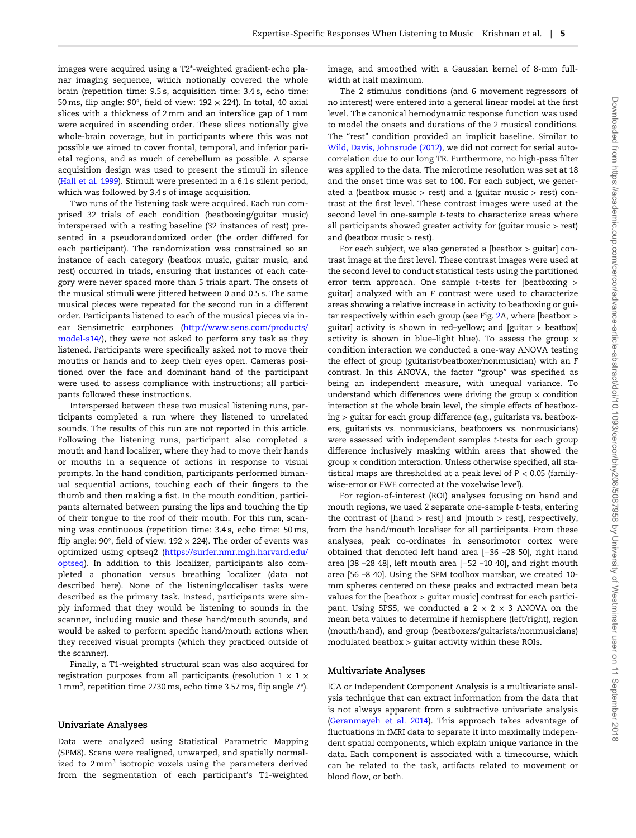images were acquired using a T2\*-weighted gradient-echo planar imaging sequence, which notionally covered the whole brain (repetition time: 9.5 s, acquisition time: 3.4 s, echo time: 50 ms, flip angle:  $90^\circ$ , field of view: 192  $\times$  224). In total, 40 axial slices with a thickness of 2 mm and an interslice gap of 1 mm were acquired in ascending order. These slices notionally give whole-brain coverage, but in participants where this was not possible we aimed to cover frontal, temporal, and inferior parietal regions, and as much of cerebellum as possible. A sparse acquisition design was used to present the stimuli in silence [\(Hall et al. 1999](#page-15-0)). Stimuli were presented in a 6.1 s silent period, which was followed by 3.4 s of image acquisition.

Two runs of the listening task were acquired. Each run comprised 32 trials of each condition (beatboxing/guitar music) interspersed with a resting baseline (32 instances of rest) presented in a pseudorandomized order (the order differed for each participant). The randomization was constrained so an instance of each category (beatbox music, guitar music, and rest) occurred in triads, ensuring that instances of each category were never spaced more than 5 trials apart. The onsets of the musical stimuli were jittered between 0 and 0.5 s. The same musical pieces were repeated for the second run in a different order. Participants listened to each of the musical pieces via inear Sensimetric earphones [\(http://www.sens.com/products/](http://www.sens.com/products/model-s14/) [model-s14/\)](http://www.sens.com/products/model-s14/), they were not asked to perform any task as they listened. Participants were specifically asked not to move their mouths or hands and to keep their eyes open. Cameras positioned over the face and dominant hand of the participant were used to assess compliance with instructions; all participants followed these instructions.

Interspersed between these two musical listening runs, participants completed a run where they listened to unrelated sounds. The results of this run are not reported in this article. Following the listening runs, participant also completed a mouth and hand localizer, where they had to move their hands or mouths in a sequence of actions in response to visual prompts. In the hand condition, participants performed bimanual sequential actions, touching each of their fingers to the thumb and then making a fist. In the mouth condition, participants alternated between pursing the lips and touching the tip of their tongue to the roof of their mouth. For this run, scanning was continuous (repetition time: 3.4 s, echo time: 50 ms, flip angle:  $90^\circ$ , field of view:  $192 \times 224$ ). The order of events was optimized using optseq2 ([https://surfer.nmr.mgh.harvard.edu/](https://surfer.nmr.mgh.harvard.edu/optseq) [optseq\)](https://surfer.nmr.mgh.harvard.edu/optseq). In addition to this localizer, participants also completed a phonation versus breathing localizer (data not described here). None of the listening/localiser tasks were described as the primary task. Instead, participants were simply informed that they would be listening to sounds in the scanner, including music and these hand/mouth sounds, and would be asked to perform specific hand/mouth actions when they received visual prompts (which they practiced outside of the scanner).

Finally, a T1-weighted structural scan was also acquired for registration purposes from all participants (resolution  $1 \times 1 \times$ 1 mm $^3$ , repetition time 2730 ms, echo time 3.57 ms, flip angle 7 $^{\circ}$ ).

#### Univariate Analyses

Data were analyzed using Statistical Parametric Mapping (SPM8). Scans were realigned, unwarped, and spatially normalized to  $2 \text{ mm}^3$  isotropic voxels using the parameters derived from the segmentation of each participant's T1-weighted

image, and smoothed with a Gaussian kernel of 8-mm fullwidth at half maximum.

The 2 stimulus conditions (and 6 movement regressors of no interest) were entered into a general linear model at the first level. The canonical hemodynamic response function was used to model the onsets and durations of the 2 musical conditions. The "rest" condition provided an implicit baseline. Similar to [Wild, Davis, Johnsrude \(2012\),](#page-16-0) we did not correct for serial autocorrelation due to our long TR. Furthermore, no high-pass filter was applied to the data. The microtime resolution was set at 18 and the onset time was set to 100. For each subject, we generated a (beatbox music  $>$  rest) and a (guitar music  $>$  rest) contrast at the first level. These contrast images were used at the second level in one-sample t-tests to characterize areas where all participants showed greater activity for (guitar music  $>$  rest) and (beatbox music > rest).

For each subject, we also generated a  $[beatbox > quitar]$  contrast image at the first level. These contrast images were used at the second level to conduct statistical tests using the partitioned error term approach. One sample t-tests for [beatboxing > guitar] analyzed with an F contrast were used to characterize areas showing a relative increase in activity to beatboxing or guitar respectively within each group (see Fig. [2](#page-8-0)A, where [beatbox > guitar] activity is shown in red–yellow; and [guitar > beatbox] activity is shown in blue–light blue). To assess the group  $\times$ condition interaction we conducted a one-way ANOVA testing the effect of group (guitarist/beatboxer/nonmusician) with an F contrast. In this ANOVA, the factor "group" was specified as being an independent measure, with unequal variance. To understand which differences were driving the group  $\times$  condition interaction at the whole brain level, the simple effects of beatboxing > guitar for each group difference (e.g., guitarists vs. beatboxers, guitarists vs. nonmusicians, beatboxers vs. nonmusicians) were assessed with independent samples t-tests for each group difference inclusively masking within areas that showed the group × condition interaction. Unless otherwise specified, all statistical maps are thresholded at a peak level of P < 0.05 (familywise-error or FWE corrected at the voxelwise level).

For region-of-interest (ROI) analyses focusing on hand and mouth regions, we used 2 separate one-sample t-tests, entering the contrast of  $[hand > rest]$  and  $[mouth > rest]$ , respectively, from the hand/mouth localiser for all participants. From these analyses, peak co-ordinates in sensorimotor cortex were obtained that denoted left hand area [−36 –28 50], right hand area [38 –28 48], left mouth area [−52 –10 40], and right mouth area [56 –8 40]. Using the SPM toolbox marsbar, we created 10 mm spheres centered on these peaks and extracted mean beta values for the [beatbox > guitar music] contrast for each participant. Using SPSS, we conducted a  $2 \times 2 \times 3$  ANOVA on the mean beta values to determine if hemisphere (left/right), region (mouth/hand), and group (beatboxers/guitarists/nonmusicians) modulated beatbox > guitar activity within these ROIs.

#### Multivariate Analyses

ICA or Independent Component Analysis is a multivariate analysis technique that can extract information from the data that is not always apparent from a subtractive univariate analysis [\(Geranmayeh et al. 2014](#page-14-0)). This approach takes advantage of fluctuations in fMRI data to separate it into maximally independent spatial components, which explain unique variance in the data. Each component is associated with a timecourse, which can be related to the task, artifacts related to movement or blood flow, or both.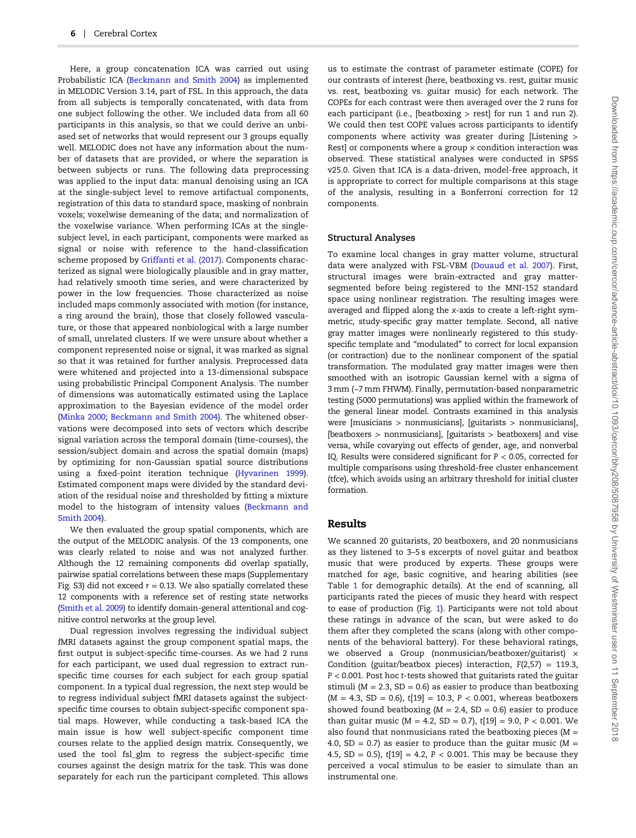Here, a group concatenation ICA was carried out using Probabilistic ICA ([Beckmann and Smith 2004\)](#page-14-0) as implemented in MELODIC Version 3.14, part of FSL. In this approach, the data from all subjects is temporally concatenated, with data from one subject following the other. We included data from all 60 participants in this analysis, so that we could derive an unbiased set of networks that would represent our 3 groups equally well. MELODIC does not have any information about the number of datasets that are provided, or where the separation is between subjects or runs. The following data preprocessing was applied to the input data: manual denoising using an ICA at the single-subject level to remove artifactual components, registration of this data to standard space, masking of nonbrain voxels; voxelwise demeaning of the data; and normalization of the voxelwise variance. When performing ICAs at the singlesubject level, in each participant, components were marked as signal or noise with reference to the hand-classification scheme proposed by [Griffanti et al. \(2017\).](#page-15-0) Components characterized as signal were biologically plausible and in gray matter, had relatively smooth time series, and were characterized by power in the low frequencies. Those characterized as noise included maps commonly associated with motion (for instance, a ring around the brain), those that closely followed vasculature, or those that appeared nonbiological with a large number of small, unrelated clusters. If we were unsure about whether a component represented noise or signal, it was marked as signal so that it was retained for further analysis. Preprocessed data were whitened and projected into a 13-dimensional subspace using probabilistic Principal Component Analysis. The number of dimensions was automatically estimated using the Laplace approximation to the Bayesian evidence of the model order [\(Minka 2000;](#page-15-0) [Beckmann and Smith 2004](#page-14-0)). The whitened observations were decomposed into sets of vectors which describe signal variation across the temporal domain (time-courses), the session/subject domain and across the spatial domain (maps) by optimizing for non-Gaussian spatial source distributions using a fixed-point iteration technique [\(Hyvarinen 1999\)](#page-15-0). Estimated component maps were divided by the standard deviation of the residual noise and thresholded by fitting a mixture model to the histogram of intensity values ([Beckmann and](#page-14-0) [Smith 2004\)](#page-14-0).

We then evaluated the group spatial components, which are the output of the MELODIC analysis. Of the 13 components, one was clearly related to noise and was not analyzed further. Although the 12 remaining components did overlap spatially, pairwise spatial correlations between these maps (Supplementary Fig. S3) did not exceed  $r = 0.13$ . We also spatially correlated these 12 components with a reference set of resting state networks [\(Smith et al. 2009\)](#page-16-0) to identify domain-general attentional and cognitive control networks at the group level.

Dual regression involves regressing the individual subject fMRI datasets against the group component spatial maps, the first output is subject-specific time-courses. As we had 2 runs for each participant, we used dual regression to extract runspecific time courses for each subject for each group spatial component. In a typical dual regression, the next step would be to regress individual subject fMRI datasets against the subjectspecific time courses to obtain subject-specific component spatial maps. However, while conducting a task-based ICA the main issue is how well subject-specific component time courses relate to the applied design matrix. Consequently, we used the tool fsl glm to regress the subject-specific time courses against the design matrix for the task. This was done separately for each run the participant completed. This allows

us to estimate the contrast of parameter estimate (COPE) for our contrasts of interest (here, beatboxing vs. rest, guitar music vs. rest, beatboxing vs. guitar music) for each network. The COPEs for each contrast were then averaged over the 2 runs for each participant (i.e., [beatboxing  $>$  rest] for run 1 and run 2). We could then test COPE values across participants to identify components where activity was greater during [Listening > Rest] or components where a group  $\times$  condition interaction was observed. These statistical analyses were conducted in SPSS v25.0. Given that ICA is a data-driven, model-free approach, it is appropriate to correct for multiple comparisons at this stage of the analysis, resulting in a Bonferroni correction for 12 components.

#### Structural Analyses

To examine local changes in gray matter volume, structural data were analyzed with FSL-VBM [\(Douaud et al. 2007\)](#page-14-0). First, structural images were brain-extracted and gray mattersegmented before being registered to the MNI-152 standard space using nonlinear registration. The resulting images were averaged and flipped along the x-axis to create a left-right symmetric, study-specific gray matter template. Second, all native gray matter images were nonlinearly registered to this studyspecific template and "modulated" to correct for local expansion (or contraction) due to the nonlinear component of the spatial transformation. The modulated gray matter images were then smoothed with an isotropic Gaussian kernel with a sigma of 3 mm (~7 mm FHWM). Finally, permutation-based nonparametric testing (5000 permutations) was applied within the framework of the general linear model. Contrasts examined in this analysis were [musicians > nonmusicians], [guitarists > nonmusicians], [beatboxers > nonmusicians], [guitarists > beatboxers] and vise versa, while covarying out effects of gender, age, and nonverbal IQ. Results were considered significant for P < 0.05, corrected for multiple comparisons using threshold-free cluster enhancement (tfce), which avoids using an arbitrary threshold for initial cluster formation.

## Results

We scanned 20 guitarists, 20 beatboxers, and 20 nonmusicians as they listened to 3–5 s excerpts of novel guitar and beatbox music that were produced by experts. These groups were matched for age, basic cognitive, and hearing abilities (see Table [1](#page-3-0) for demographic details). At the end of scanning, all participants rated the pieces of music they heard with respect to ease of production (Fig. [1](#page-6-0)). Participants were not told about these ratings in advance of the scan, but were asked to do them after they completed the scans (along with other components of the behavioral battery). For these behavioral ratings, we observed a Group (nonmusician/beatboxer/guitarist) × Condition (guitar/beatbox pieces) interaction,  $F(2,57) = 119.3$ , P < 0.001. Post hoc t-tests showed that guitarists rated the guitar stimuli ( $M = 2.3$ , SD = 0.6) as easier to produce than beatboxing  $(M = 4.3, SD = 0.6), t[19] = 10.3, P < 0.001,$  whereas beatboxers showed found beatboxing ( $M = 2.4$ , SD = 0.6) easier to produce than guitar music ( $M = 4.2$ ,  $SD = 0.7$ ),  $t[19] = 9.0$ ,  $P < 0.001$ . We also found that nonmusicians rated the beatboxing pieces ( $M =$ 4.0, SD = 0.7) as easier to produce than the guitar music  $(M =$ 4.5, SD = 0.5),  $t[19] = 4.2$ ,  $P < 0.001$ . This may be because they perceived a vocal stimulus to be easier to simulate than an instrumental one.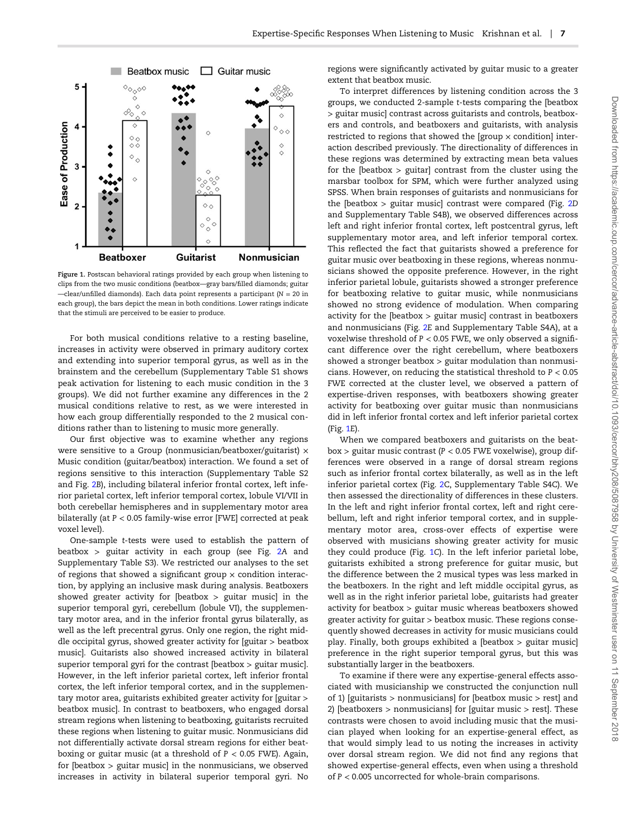<span id="page-6-0"></span>

Figure 1. Postscan behavioral ratings provided by each group when listening to clips from the two music conditions (beatbox—gray bars/filled diamonds; guitar  $-\text{clear/unfilled diamonds}$ ). Each data point represents a participant ( $N = 20$  in each group), the bars depict the mean in both conditions. Lower ratings indicate that the stimuli are perceived to be easier to produce.

For both musical conditions relative to a resting baseline, increases in activity were observed in primary auditory cortex and extending into superior temporal gyrus, as well as in the brainstem and the cerebellum (Supplementary Table S1 shows peak activation for listening to each music condition in the 3 groups). We did not further examine any differences in the 2 musical conditions relative to rest, as we were interested in how each group differentially responded to the 2 musical conditions rather than to listening to music more generally.

Our first objective was to examine whether any regions were sensitive to a Group (nonmusician/beatboxer/guitarist)  $\times$ Music condition (guitar/beatbox) interaction. We found a set of regions sensitive to this interaction (Supplementary Table S2 and Fig. [2](#page-8-0)B), including bilateral inferior frontal cortex, left inferior parietal cortex, left inferior temporal cortex, lobule VI/VII in both cerebellar hemispheres and in supplementary motor area bilaterally (at P < 0.05 family-wise error [FWE] corrected at peak voxel level).

One-sample t-tests were used to establish the pattern of beatbox > guitar activity in each group (see Fig. [2](#page-8-0)A and Supplementary Table S3). We restricted our analyses to the set of regions that showed a significant group  $\times$  condition interaction, by applying an inclusive mask during analysis. Beatboxers showed greater activity for [beatbox  $>$  guitar music] in the superior temporal gyri, cerebellum (lobule VI), the supplementary motor area, and in the inferior frontal gyrus bilaterally, as well as the left precentral gyrus. Only one region, the right middle occipital gyrus, showed greater activity for  $[$ guitar  $>$  beatbox music]. Guitarists also showed increased activity in bilateral superior temporal gyri for the contrast [beatbox > guitar music]. However, in the left inferior parietal cortex, left inferior frontal cortex, the left inferior temporal cortex, and in the supplementary motor area, guitarists exhibited greater activity for [guitar > beatbox music]. In contrast to beatboxers, who engaged dorsal stream regions when listening to beatboxing, guitarists recruited these regions when listening to guitar music. Nonmusicians did not differentially activate dorsal stream regions for either beatboxing or guitar music (at a threshold of  $P < 0.05$  FWE). Again, for  $[beatbox > guitar$  music $]$  in the nonmusicians, we observed increases in activity in bilateral superior temporal gyri. No

regions were significantly activated by guitar music to a greater extent that beatbox music.

To interpret differences by listening condition across the 3 groups, we conducted 2-sample t-tests comparing the [beatbox > guitar music] contrast across guitarists and controls, beatboxers and controls, and beatboxers and guitarists, with analysis restricted to regions that showed the  $[group \times condition]$  interaction described previously. The directionality of differences in these regions was determined by extracting mean beta values for the [beatbox  $>$  guitar] contrast from the cluster using the marsbar toolbox for SPM, which were further analyzed using SPSS. When brain responses of guitarists and nonmusicians for the [beatbox  $>$  guitar music] contrast were compared (Fig. [2](#page-8-0)D and Supplementary Table S4B), we observed differences across left and right inferior frontal cortex, left postcentral gyrus, left supplementary motor area, and left inferior temporal cortex. This reflected the fact that guitarists showed a preference for guitar music over beatboxing in these regions, whereas nonmusicians showed the opposite preference. However, in the right inferior parietal lobule, guitarists showed a stronger preference for beatboxing relative to guitar music, while nonmusicians showed no strong evidence of modulation. When comparing activity for the [beatbox > guitar music] contrast in beatboxers and nonmusicians (Fig. [2](#page-8-0)E and Supplementary Table S4A), at a voxelwise threshold of P < 0.05 FWE, we only observed a significant difference over the right cerebellum, where beatboxers showed a stronger beatbox > guitar modulation than nonmusicians. However, on reducing the statistical threshold to P < 0.05 FWE corrected at the cluster level, we observed a pattern of expertise-driven responses, with beatboxers showing greater activity for beatboxing over guitar music than nonmusicians did in left inferior frontal cortex and left inferior parietal cortex (Fig. 1E).

When we compared beatboxers and guitarists on the beat $box >$  guitar music contrast ( $P < 0.05$  FWE voxelwise), group differences were observed in a range of dorsal stream regions such as inferior frontal cortex bilaterally, as well as in the left inferior parietal cortex (Fig. [2C](#page-8-0), Supplementary Table S4C). We then assessed the directionality of differences in these clusters. In the left and right inferior frontal cortex, left and right cerebellum, left and right inferior temporal cortex, and in supplementary motor area, cross-over effects of expertise were observed with musicians showing greater activity for music they could produce (Fig. 1C). In the left inferior parietal lobe, guitarists exhibited a strong preference for guitar music, but the difference between the 2 musical types was less marked in the beatboxers. In the right and left middle occipital gyrus, as well as in the right inferior parietal lobe, guitarists had greater activity for beatbox > guitar music whereas beatboxers showed greater activity for guitar > beatbox music. These regions consequently showed decreases in activity for music musicians could play. Finally, both groups exhibited a  $[beatbox > guitar music]$ preference in the right superior temporal gyrus, but this was substantially larger in the beatboxers.

To examine if there were any expertise-general effects associated with musicianship we constructed the conjunction null of 1) [guitarists > nonmusicians] for [beatbox music > rest] and 2) [beatboxers > nonmusicians] for [guitar music > rest]. These contrasts were chosen to avoid including music that the musician played when looking for an expertise-general effect, as that would simply lead to us noting the increases in activity over dorsal stream region. We did not find any regions that showed expertise-general effects, even when using a threshold of P < 0.005 uncorrected for whole-brain comparisons.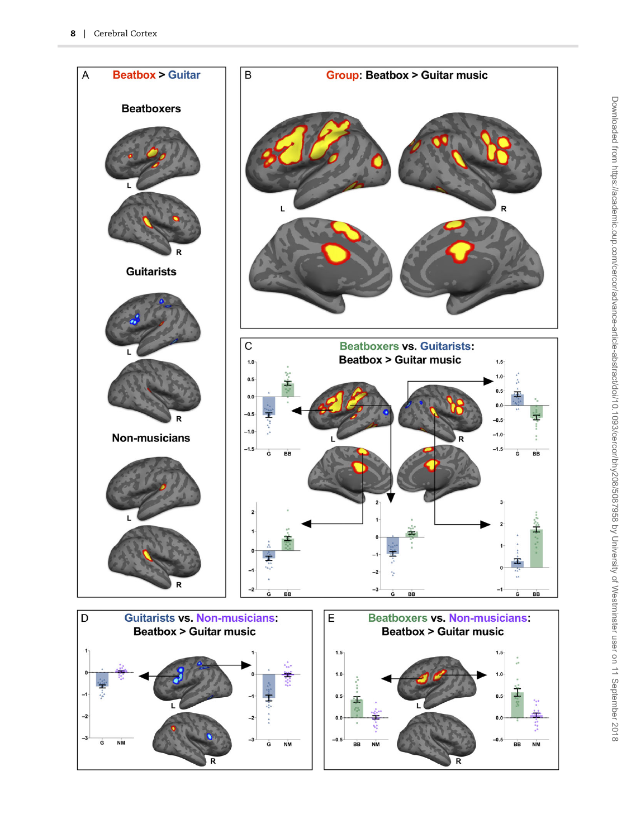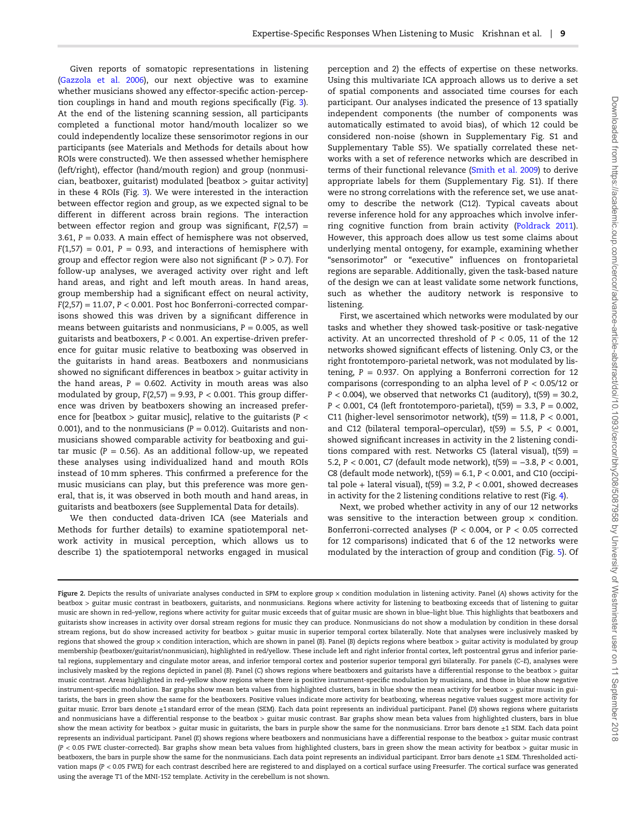<span id="page-8-0"></span>Given reports of somatopic representations in listening [\(Gazzola et al. 2006](#page-14-0)), our next objective was to examine whether musicians showed any effector-specific action-perception couplings in hand and mouth regions specifically (Fig. [3\)](#page-9-0). At the end of the listening scanning session, all participants completed a functional motor hand/mouth localizer so we could independently localize these sensorimotor regions in our participants (see Materials and Methods for details about how ROIs were constructed). We then assessed whether hemisphere (left/right), effector (hand/mouth region) and group (nonmusician, beatboxer, guitarist) modulated [beatbox > guitar activity] in these 4 ROIs (Fig. [3](#page-9-0)). We were interested in the interaction between effector region and group, as we expected signal to be different in different across brain regions. The interaction between effector region and group was significant,  $F(2,57) =$ 3.61,  $P = 0.033$ . A main effect of hemisphere was not observed,  $F(1,57) = 0.01$ ,  $P = 0.93$ , and interactions of hemisphere with group and effector region were also not significant  $(P > 0.7)$ . For follow-up analyses, we averaged activity over right and left hand areas, and right and left mouth areas. In hand areas, group membership had a significant effect on neural activity,  $F(2,57) = 11.07$ ,  $P < 0.001$ . Post hoc Bonferroni-corrected comparisons showed this was driven by a significant difference in means between guitarists and nonmusicians,  $P = 0.005$ , as well guitarists and beatboxers, P < 0.001. An expertise-driven preference for guitar music relative to beatboxing was observed in the guitarists in hand areas. Beatboxers and nonmusicians showed no significant differences in beatbox > guitar activity in the hand areas,  $P = 0.602$ . Activity in mouth areas was also modulated by group,  $F(2,57) = 9.93$ ,  $P < 0.001$ . This group difference was driven by beatboxers showing an increased preference for [beatbox  $>$  guitar music], relative to the guitarists (P  $<$ 0.001), and to the nonmusicians ( $P = 0.012$ ). Guitarists and nonmusicians showed comparable activity for beatboxing and guitar music ( $P = 0.56$ ). As an additional follow-up, we repeated these analyses using individualized hand and mouth ROIs instead of 10 mm spheres. This confirmed a preference for the music musicians can play, but this preference was more general, that is, it was observed in both mouth and hand areas, in guitarists and beatboxers (see Supplemental Data for details).

We then conducted data-driven ICA (see Materials and Methods for further details) to examine spatiotemporal network activity in musical perception, which allows us to describe 1) the spatiotemporal networks engaged in musical perception and 2) the effects of expertise on these networks. Using this multivariate ICA approach allows us to derive a set of spatial components and associated time courses for each participant. Our analyses indicated the presence of 13 spatially independent components (the number of components was automatically estimated to avoid bias), of which 12 could be considered non-noise (shown in Supplementary Fig. S1 and Supplementary Table S5). We spatially correlated these networks with a set of reference networks which are described in terms of their functional relevance [\(Smith et al. 2009](#page-16-0)) to derive appropriate labels for them (Supplementary Fig. S1). If there were no strong correlations with the reference set, we use anatomy to describe the network (C12). Typical caveats about reverse inference hold for any approaches which involve inferring cognitive function from brain activity [\(Poldrack 2011\)](#page-15-0). However, this approach does allow us test some claims about underlying mental ontogeny, for example, examining whether "sensorimotor" or "executive" influences on frontoparietal regions are separable. Additionally, given the task-based nature of the design we can at least validate some network functions, such as whether the auditory network is responsive to listening.

First, we ascertained which networks were modulated by our tasks and whether they showed task-positive or task-negative activity. At an uncorrected threshold of  $P < 0.05$ , 11 of the 12 networks showed significant effects of listening. Only C3, or the right frontotemporo-parietal network, was not modulated by listening,  $P = 0.937$ . On applying a Bonferroni correction for 12 comparisons (corresponding to an alpha level of P < 0.05/12 or  $P < 0.004$ ), we observed that networks C1 (auditory),  $t(59) = 30.2$ ,  $P < 0.001$ , C4 (left frontotemporo-parietal),  $t(59) = 3.3$ ,  $P = 0.002$ , C11 (higher-level sensorimotor network),  $t(59) = 11.8$ ,  $P < 0.001$ , and C12 (bilateral temporal–opercular),  $t(59) = 5.5$ ,  $P < 0.001$ , showed significant increases in activity in the 2 listening conditions compared with rest. Networks C5 (lateral visual),  $t(59) =$ 5.2, P < 0.001, C7 (default mode network), t(59) = −3.8, P < 0.001, C8 (default mode network),  $t(59) = 6.1$ ,  $P < 0.001$ , and C10 (occipital pole + lateral visual),  $t(59) = 3.2$ ,  $P < 0.001$ , showed decreases in activity for the 2 listening conditions relative to rest (Fig. [4](#page-10-0)).

Next, we probed whether activity in any of our 12 networks was sensitive to the interaction between group  $\times$  condition. Bonferroni-corrected analyses ( $P < 0.004$ , or  $P < 0.05$  corrected for 12 comparisons) indicated that 6 of the 12 networks were modulated by the interaction of group and condition (Fig. [5\)](#page-11-0). Of

Figure 2. Depicts the results of univariate analyses conducted in SPM to explore group x condition modulation in listening activity. Panel (A) shows activity for the beatbox > guitar music contrast in beatboxers, guitarists, and nonmusicians. Regions where activity for listening to beatboxing exceeds that of listening to guitar music are shown in red–yellow, regions where activity for guitar music exceeds that of guitar music are shown in blue–light blue. This highlights that beatboxers and guitarists show increases in activity over dorsal stream regions for music they can produce. Nonmusicians do not show a modulation by condition in these dorsal stream regions, but do show increased activity for beatbox > guitar music in superior temporal cortex bilaterally. Note that analyses were inclusively masked by regions that showed the group x condition interaction, which are shown in panel (B). Panel (B) depicts regions where beatbox > guitar activity is modulated by group membership (beatboxer/guitarist/nonmusician), highlighted in red/yellow. These include left and right inferior frontal cortex, left postcentral gyrus and inferior parietal regions, supplementary and cingulate motor areas, and inferior temporal cortex and posterior superior temporal gyri bilaterally. For panels (C–E), analyses were inclusively masked by the regions depicted in panel (B). Panel (C) shows regions where beatboxers and guitarists have a differential response to the beatbox > guitar music contrast. Areas highlighted in red–yellow show regions where there is positive instrument-specific modulation by musicians, and those in blue show negative instrument-specific modulation. Bar graphs show mean beta values from highlighted clusters, bars in blue show the mean activity for beatbox > guitar music in guitarists, the bars in green show the same for the beatboxers. Positive values indicate more activity for beatboxing, whereas negative values suggest more activity for guitar music. Error bars denote ±1 standard error of the mean (SEM). Each data point represents an individual participant. Panel (D) shows regions where guitarists and nonmusicians have a differential response to the beatbox > guitar music contrast. Bar graphs show mean beta values from highlighted clusters, bars in blue show the mean activity for beatbox > guitar music in guitarists, the bars in purple show the same for the nonmusicians. Error bars denote ±1 SEM. Each data point represents an individual participant. Panel (E) shows regions where beatboxers and nonmusicians have a differential response to the beatbox > guitar music contrast  $(P < 0.05$  FWE cluster-corrected). Bar graphs show mean beta values from highlighted clusters, bars in green show the mean activity for beatbox > guitar music in beatboxers, the bars in purple show the same for the nonmusicians. Each data point represents an individual participant. Error bars denote ±1 SEM. Thresholded activation maps (P < 0.05 FWE) for each contrast described here are registered to and displayed on a cortical surface using Freesurfer. The cortical surface was generated using the average T1 of the MNI-152 template. Activity in the cerebellum is not shown.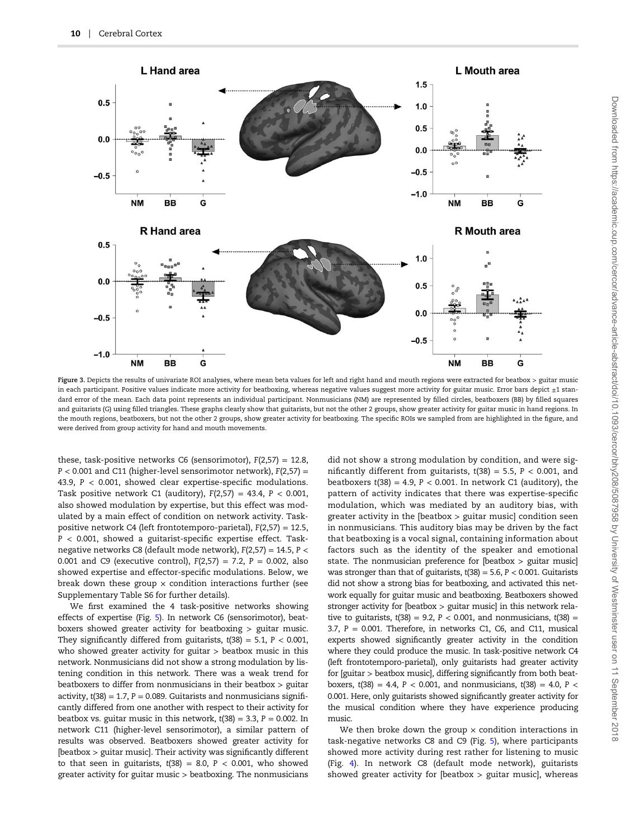<span id="page-9-0"></span>

Figure 3. Depicts the results of univariate ROI analyses, where mean beta values for left and right hand and mouth regions were extracted for beatbox > guitar music in each participant. Positive values indicate more activity for beatboxing, whereas negative values suggest more activity for guitar music. Error bars depict ±1 standard error of the mean. Each data point represents an individual participant. Nonmusicians (NM) are represented by filled circles, beatboxers (BB) by filled squares and guitarists (G) using filled triangles. These graphs clearly show that guitarists, but not the other 2 groups, show greater activity for guitar music in hand regions. In the mouth regions, beatboxers, but not the other 2 groups, show greater activity for beatboxing. The specific ROIs we sampled from are highlighted in the figure, and were derived from group activity for hand and mouth movements.

these, task-positive networks C6 (sensorimotor),  $F(2,57) = 12.8$ ,  $P < 0.001$  and C11 (higher-level sensorimotor network),  $F(2,57) =$ 43.9, P < 0.001, showed clear expertise-specific modulations. Task positive network C1 (auditory),  $F(2,57) = 43.4$ ,  $P < 0.001$ , also showed modulation by expertise, but this effect was modulated by a main effect of condition on network activity. Taskpositive network C4 (left frontotemporo-parietal), F(2,57) = 12.5,  $P < 0.001$ , showed a guitarist-specific expertise effect. Tasknegative networks C8 (default mode network),  $F(2,57) = 14.5$ ,  $P <$ 0.001 and C9 (executive control),  $F(2,57) = 7.2$ ,  $P = 0.002$ , also showed expertise and effector-specific modulations. Below, we break down these group  $\times$  condition interactions further (see Supplementary Table S6 for further details).

We first examined the 4 task-positive networks showing effects of expertise (Fig. [5\)](#page-11-0). In network C6 (sensorimotor), beatboxers showed greater activity for beatboxing  $>$  guitar music. They significantly differed from guitarists,  $t(38) = 5.1$ ,  $P < 0.001$ , who showed greater activity for guitar  $>$  beatbox music in this network. Nonmusicians did not show a strong modulation by listening condition in this network. There was a weak trend for beatboxers to differ from nonmusicians in their beatbox > guitar activity,  $t(38) = 1.7$ ,  $P = 0.089$ . Guitarists and nonmusicians significantly differed from one another with respect to their activity for beatbox vs. guitar music in this network,  $t(38) = 3.3$ ,  $P = 0.002$ . In network C11 (higher-level sensorimotor), a similar pattern of results was observed. Beatboxers showed greater activity for [beatbox > guitar music]. Their activity was significantly different to that seen in guitarists,  $t(38) = 8.0$ ,  $P < 0.001$ , who showed greater activity for guitar music > beatboxing. The nonmusicians

did not show a strong modulation by condition, and were significantly different from guitarists,  $t(38) = 5.5$ ,  $P < 0.001$ , and beatboxers  $t(38) = 4.9$ ,  $P < 0.001$ . In network C1 (auditory), the pattern of activity indicates that there was expertise-specific modulation, which was mediated by an auditory bias, with greater activity in the [beatbox > guitar music] condition seen in nonmusicians. This auditory bias may be driven by the fact that beatboxing is a vocal signal, containing information about factors such as the identity of the speaker and emotional state. The nonmusician preference for  $[beatbox > guitar music]$ was stronger than that of guitarists,  $t(38) = 5.6$ ,  $P < 0.001$ . Guitarists did not show a strong bias for beatboxing, and activated this network equally for guitar music and beatboxing. Beatboxers showed stronger activity for [beatbox > guitar music] in this network relative to guitarists,  $t(38) = 9.2$ ,  $P < 0.001$ , and nonmusicians,  $t(38) =$ 3.7,  $P = 0.001$ . Therefore, in networks C1, C6, and C11, musical experts showed significantly greater activity in the condition where they could produce the music. In task-positive network C4 (left frontotemporo-parietal), only guitarists had greater activity for [guitar > beatbox music], differing significantly from both beatboxers,  $t(38) = 4.4$ ,  $P < 0.001$ , and nonmusicians,  $t(38) = 4.0$ ,  $P <$ 0.001. Here, only guitarists showed significantly greater activity for the musical condition where they have experience producing music.

We then broke down the group  $\times$  condition interactions in task-negative networks C8 and C9 (Fig. [5\)](#page-11-0), where participants showed more activity during rest rather for listening to music (Fig. [4\)](#page-10-0). In network C8 (default mode network), guitarists showed greater activity for [beatbox  $>$  guitar music], whereas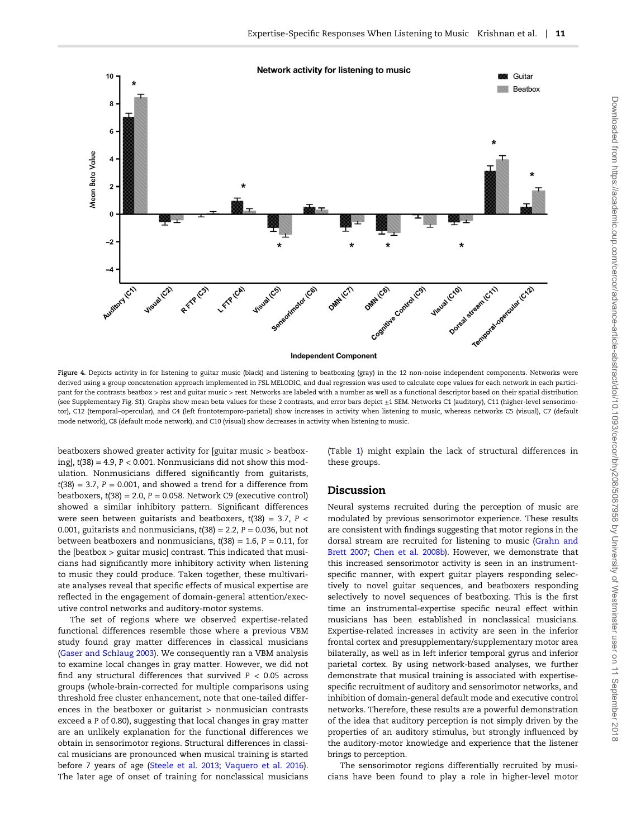<span id="page-10-0"></span>

Figure 4. Depicts activity in for listening to guitar music (black) and listening to beatboxing (gray) in the 12 non-noise independent components. Networks were derived using a group concatenation approach implemented in FSL MELODIC, and dual regression was used to calculate cope values for each network in each participant for the contrasts beatbox > rest and guitar music > rest. Networks are labeled with a number as well as a functional descriptor based on their spatial distribution (see Supplementary Fig. S1). Graphs show mean beta values for these 2 contrasts, and error bars depict ±1 SEM. Networks C1 (auditory), C11 (higher-level sensorimotor), C12 (temporal–opercular), and C4 (left frontotemporo-parietal) show increases in activity when listening to music, whereas networks C5 (visual), C7 (default mode network), C8 (default mode network), and C10 (visual) show decreases in activity when listening to music.

beatboxers showed greater activity for [guitar music > beatboxing],  $t(38) = 4.9$ ,  $P < 0.001$ . Nonmusicians did not show this modulation. Nonmusicians differed significantly from guitarists,  $t(38) = 3.7$ ,  $P = 0.001$ , and showed a trend for a difference from beatboxers,  $t(38) = 2.0$ ,  $P = 0.058$ . Network C9 (executive control) showed a similar inhibitory pattern. Significant differences were seen between guitarists and beatboxers,  $t(38) = 3.7$ ,  $P <$ 0.001, guitarists and nonmusicians,  $t(38) = 2.2$ ,  $P = 0.036$ , but not between beatboxers and nonmusicians,  $t(38) = 1.6$ ,  $P = 0.11$ , for the [beatbox > guitar music] contrast. This indicated that musicians had significantly more inhibitory activity when listening to music they could produce. Taken together, these multivariate analyses reveal that specific effects of musical expertise are reflected in the engagement of domain-general attention/executive control networks and auditory-motor systems.

The set of regions where we observed expertise-related functional differences resemble those where a previous VBM study found gray matter differences in classical musicians [\(Gaser and Schlaug 2003\)](#page-14-0). We consequently ran a VBM analysis to examine local changes in gray matter. However, we did not find any structural differences that survived  $P < 0.05$  across groups (whole-brain-corrected for multiple comparisons using threshold free cluster enhancement, note that one-tailed differences in the beatboxer or guitarist  $>$  nonmusician contrasts exceed a P of 0.80), suggesting that local changes in gray matter are an unlikely explanation for the functional differences we obtain in sensorimotor regions. Structural differences in classical musicians are pronounced when musical training is started before 7 years of age ([Steele et al. 2013;](#page-16-0) [Vaquero et al. 2016\)](#page-16-0). The later age of onset of training for nonclassical musicians

(Table [1\)](#page-3-0) might explain the lack of structural differences in these groups.

## Discussion

Neural systems recruited during the perception of music are modulated by previous sensorimotor experience. These results are consistent with findings suggesting that motor regions in the dorsal stream are recruited for listening to music [\(Grahn and](#page-14-0) [Brett 2007](#page-14-0); [Chen et al. 2008b](#page-14-0)). However, we demonstrate that this increased sensorimotor activity is seen in an instrumentspecific manner, with expert guitar players responding selectively to novel guitar sequences, and beatboxers responding selectively to novel sequences of beatboxing. This is the first time an instrumental-expertise specific neural effect within musicians has been established in nonclassical musicians. Expertise-related increases in activity are seen in the inferior frontal cortex and presupplementary/supplementary motor area bilaterally, as well as in left inferior temporal gyrus and inferior parietal cortex. By using network-based analyses, we further demonstrate that musical training is associated with expertisespecific recruitment of auditory and sensorimotor networks, and inhibition of domain-general default mode and executive control networks. Therefore, these results are a powerful demonstration of the idea that auditory perception is not simply driven by the properties of an auditory stimulus, but strongly influenced by the auditory-motor knowledge and experience that the listener brings to perception.

The sensorimotor regions differentially recruited by musicians have been found to play a role in higher-level motor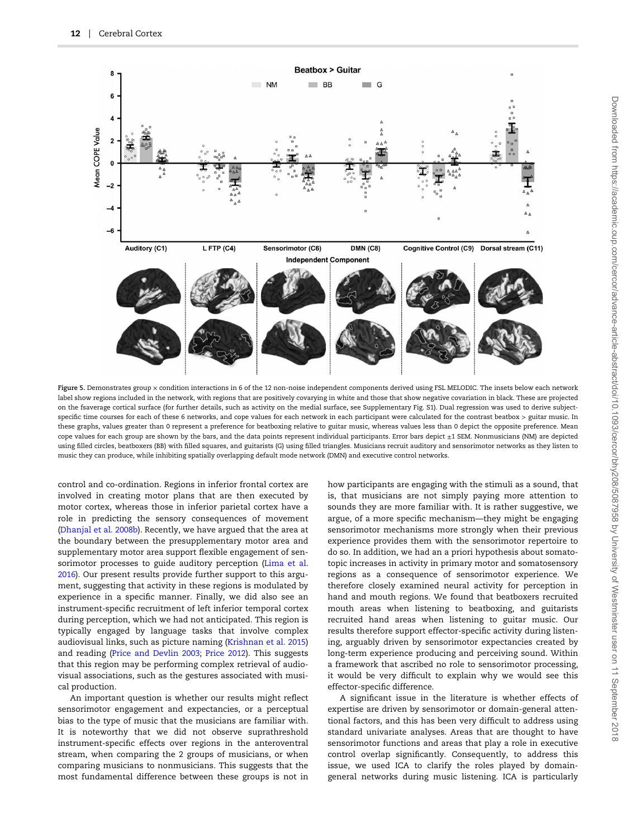<span id="page-11-0"></span>

Figure 5. Demonstrates group × condition interactions in 6 of the 12 non-noise independent components derived using FSL MELODIC. The insets below each network label show regions included in the network, with regions that are positively covarying in white and those that show negative covariation in black. These are projected on the fsaverage cortical surface (for further details, such as activity on the medial surface, see Supplementary Fig. S1). Dual regression was used to derive subjectspecific time courses for each of these 6 networks, and cope values for each network in each participant were calculated for the contrast beatbox > guitar music. In these graphs, values greater than 0 represent a preference for beatboxing relative to guitar music, whereas values less than 0 depict the opposite preference. Mean cope values for each group are shown by the bars, and the data points represent individual participants. Error bars depict  $\pm 1$  SEM. Nonmusicians (NM) are depicted using filled circles, beatboxers (BB) with filled squares, and guitarists (G) using filled triangles. Musicians recruit auditory and sensorimotor networks as they listen to music they can produce, while inhibiting spatially overlapping default mode network (DMN) and executive control networks.

control and co-ordination. Regions in inferior frontal cortex are involved in creating motor plans that are then executed by motor cortex, whereas those in inferior parietal cortex have a role in predicting the sensory consequences of movement [\(Dhanjal et al. 2008b\)](#page-14-0). Recently, we have argued that the area at the boundary between the presupplementary motor area and supplementary motor area support flexible engagement of sensorimotor processes to guide auditory perception ([Lima et al.](#page-15-0) [2016\)](#page-15-0). Our present results provide further support to this argument, suggesting that activity in these regions is modulated by experience in a specific manner. Finally, we did also see an instrument-specific recruitment of left inferior temporal cortex during perception, which we had not anticipated. This region is typically engaged by language tasks that involve complex audiovisual links, such as picture naming ([Krishnan et al. 2015\)](#page-15-0) and reading ([Price and Devlin 2003;](#page-15-0) [Price 2012](#page-15-0)). This suggests that this region may be performing complex retrieval of audiovisual associations, such as the gestures associated with musical production.

An important question is whether our results might reflect sensorimotor engagement and expectancies, or a perceptual bias to the type of music that the musicians are familiar with. It is noteworthy that we did not observe suprathreshold instrument-specific effects over regions in the anteroventral stream, when comparing the 2 groups of musicians, or when comparing musicians to nonmusicians. This suggests that the most fundamental difference between these groups is not in

how participants are engaging with the stimuli as a sound, that is, that musicians are not simply paying more attention to sounds they are more familiar with. It is rather suggestive, we argue, of a more specific mechanism—they might be engaging sensorimotor mechanisms more strongly when their previous experience provides them with the sensorimotor repertoire to do so. In addition, we had an a priori hypothesis about somatotopic increases in activity in primary motor and somatosensory regions as a consequence of sensorimotor experience. We therefore closely examined neural activity for perception in hand and mouth regions. We found that beatboxers recruited mouth areas when listening to beatboxing, and guitarists recruited hand areas when listening to guitar music. Our results therefore support effector-specific activity during listening, arguably driven by sensorimotor expectancies created by long-term experience producing and perceiving sound. Within a framework that ascribed no role to sensorimotor processing, it would be very difficult to explain why we would see this effector-specific difference.

A significant issue in the literature is whether effects of expertise are driven by sensorimotor or domain-general attentional factors, and this has been very difficult to address using standard univariate analyses. Areas that are thought to have sensorimotor functions and areas that play a role in executive control overlap significantly. Consequently, to address this issue, we used ICA to clarify the roles played by domaingeneral networks during music listening. ICA is particularly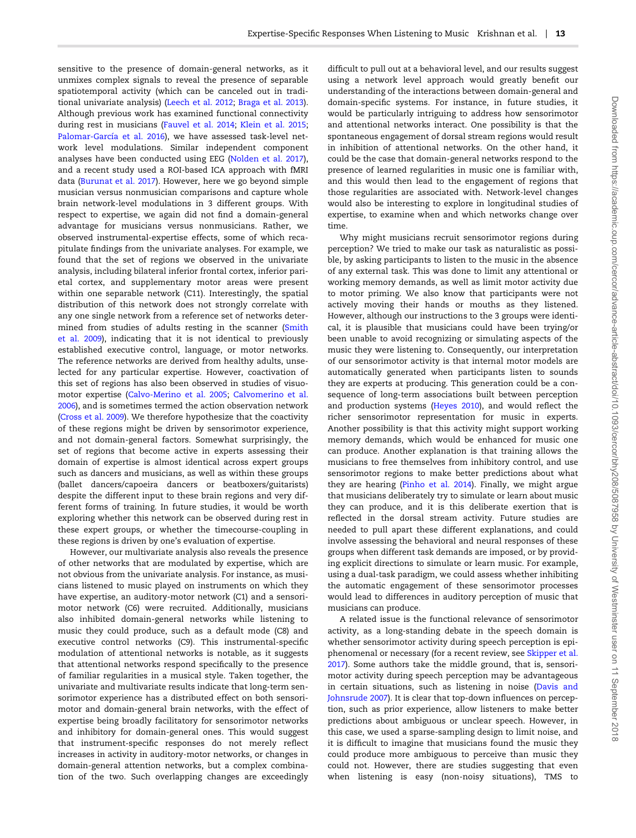sensitive to the presence of domain-general networks, as it unmixes complex signals to reveal the presence of separable spatiotemporal activity (which can be canceled out in traditional univariate analysis) ([Leech et al. 2012;](#page-15-0) [Braga et al. 2013\)](#page-14-0). Although previous work has examined functional connectivity during rest in musicians ([Fauvel et al. 2014](#page-14-0); [Klein et al. 2015;](#page-15-0) [Palomar-García et al. 2016\)](#page-15-0), we have assessed task-level network level modulations. Similar independent component analyses have been conducted using EEG [\(Nolden et al. 2017\)](#page-15-0), and a recent study used a ROI-based ICA approach with fMRI data [\(Burunat et al. 2017](#page-14-0)). However, here we go beyond simple musician versus nonmusician comparisons and capture whole brain network-level modulations in 3 different groups. With respect to expertise, we again did not find a domain-general advantage for musicians versus nonmusicians. Rather, we observed instrumental-expertise effects, some of which recapitulate findings from the univariate analyses. For example, we found that the set of regions we observed in the univariate analysis, including bilateral inferior frontal cortex, inferior parietal cortex, and supplementary motor areas were present within one separable network (C11). Interestingly, the spatial distribution of this network does not strongly correlate with any one single network from a reference set of networks determined from studies of adults resting in the scanner ([Smith](#page-16-0) [et al. 2009](#page-16-0)), indicating that it is not identical to previously established executive control, language, or motor networks. The reference networks are derived from healthy adults, unselected for any particular expertise. However, coactivation of this set of regions has also been observed in studies of visuomotor expertise ([Calvo-Merino et al. 2005](#page-14-0); [Calvomerino et al.](#page-14-0) [2006\)](#page-14-0), and is sometimes termed the action observation network [\(Cross et al. 2009\)](#page-14-0). We therefore hypothesize that the coactivity of these regions might be driven by sensorimotor experience, and not domain-general factors. Somewhat surprisingly, the set of regions that become active in experts assessing their domain of expertise is almost identical across expert groups such as dancers and musicians, as well as within these groups (ballet dancers/capoeira dancers or beatboxers/guitarists) despite the different input to these brain regions and very different forms of training. In future studies, it would be worth exploring whether this network can be observed during rest in these expert groups, or whether the timecourse-coupling in these regions is driven by one's evaluation of expertise.

However, our multivariate analysis also reveals the presence of other networks that are modulated by expertise, which are not obvious from the univariate analysis. For instance, as musicians listened to music played on instruments on which they have expertise, an auditory-motor network (C1) and a sensorimotor network (C6) were recruited. Additionally, musicians also inhibited domain-general networks while listening to music they could produce, such as a default mode (C8) and executive control networks (C9). This instrumental-specific modulation of attentional networks is notable, as it suggests that attentional networks respond specifically to the presence of familiar regularities in a musical style. Taken together, the univariate and multivariate results indicate that long-term sensorimotor experience has a distributed effect on both sensorimotor and domain-general brain networks, with the effect of expertise being broadly facilitatory for sensorimotor networks and inhibitory for domain-general ones. This would suggest that instrument-specific responses do not merely reflect increases in activity in auditory-motor networks, or changes in domain-general attention networks, but a complex combination of the two. Such overlapping changes are exceedingly

difficult to pull out at a behavioral level, and our results suggest using a network level approach would greatly benefit our understanding of the interactions between domain-general and domain-specific systems. For instance, in future studies, it would be particularly intriguing to address how sensorimotor and attentional networks interact. One possibility is that the spontaneous engagement of dorsal stream regions would result in inhibition of attentional networks. On the other hand, it could be the case that domain-general networks respond to the presence of learned regularities in music one is familiar with, and this would then lead to the engagement of regions that those regularities are associated with. Network-level changes would also be interesting to explore in longitudinal studies of expertise, to examine when and which networks change over time.

Why might musicians recruit sensorimotor regions during perception? We tried to make our task as naturalistic as possible, by asking participants to listen to the music in the absence of any external task. This was done to limit any attentional or working memory demands, as well as limit motor activity due to motor priming. We also know that participants were not actively moving their hands or mouths as they listened. However, although our instructions to the 3 groups were identical, it is plausible that musicians could have been trying/or been unable to avoid recognizing or simulating aspects of the music they were listening to. Consequently, our interpretation of our sensorimotor activity is that internal motor models are automatically generated when participants listen to sounds they are experts at producing. This generation could be a consequence of long-term associations built between perception and production systems ([Heyes 2010\)](#page-15-0), and would reflect the richer sensorimotor representation for music in experts. Another possibility is that this activity might support working memory demands, which would be enhanced for music one can produce. Another explanation is that training allows the musicians to free themselves from inhibitory control, and use sensorimotor regions to make better predictions about what they are hearing ([Pinho et al. 2014\)](#page-15-0). Finally, we might argue that musicians deliberately try to simulate or learn about music they can produce, and it is this deliberate exertion that is reflected in the dorsal stream activity. Future studies are needed to pull apart these different explanations, and could involve assessing the behavioral and neural responses of these groups when different task demands are imposed, or by providing explicit directions to simulate or learn music. For example, using a dual-task paradigm, we could assess whether inhibiting the automatic engagement of these sensorimotor processes would lead to differences in auditory perception of music that musicians can produce.

A related issue is the functional relevance of sensorimotor activity, as a long-standing debate in the speech domain is whether sensorimotor activity during speech perception is epiphenomenal or necessary (for a recent review, see [Skipper et al.](#page-16-0) [2017\)](#page-16-0). Some authors take the middle ground, that is, sensorimotor activity during speech perception may be advantageous in certain situations, such as listening in noise [\(Davis and](#page-14-0) [Johnsrude 2007](#page-14-0)). It is clear that top-down influences on perception, such as prior experience, allow listeners to make better predictions about ambiguous or unclear speech. However, in this case, we used a sparse-sampling design to limit noise, and it is difficult to imagine that musicians found the music they could produce more ambiguous to perceive than music they could not. However, there are studies suggesting that even when listening is easy (non-noisy situations), TMS to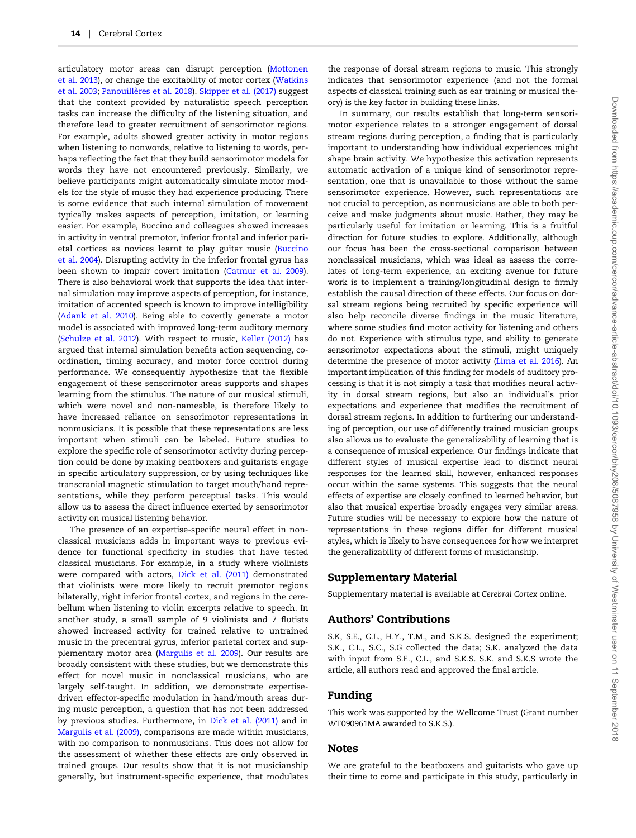articulatory motor areas can disrupt perception [\(Mottonen](#page-15-0) [et al. 2013](#page-15-0)), or change the excitability of motor cortex [\(Watkins](#page-16-0) [et al. 2003;](#page-16-0) [Panouillères et al. 2018\)](#page-15-0). [Skipper et al. \(2017\)](#page-16-0) suggest that the context provided by naturalistic speech perception tasks can increase the difficulty of the listening situation, and therefore lead to greater recruitment of sensorimotor regions. For example, adults showed greater activity in motor regions when listening to nonwords, relative to listening to words, perhaps reflecting the fact that they build sensorimotor models for words they have not encountered previously. Similarly, we believe participants might automatically simulate motor models for the style of music they had experience producing. There is some evidence that such internal simulation of movement typically makes aspects of perception, imitation, or learning easier. For example, Buccino and colleagues showed increases in activity in ventral premotor, inferior frontal and inferior parietal cortices as novices learnt to play guitar music ([Buccino](#page-14-0) [et al. 2004\)](#page-14-0). Disrupting activity in the inferior frontal gyrus has been shown to impair covert imitation [\(Catmur et al. 2009\)](#page-14-0). There is also behavioral work that supports the idea that internal simulation may improve aspects of perception, for instance, imitation of accented speech is known to improve intelligibility [\(Adank et al. 2010\)](#page-14-0). Being able to covertly generate a motor model is associated with improved long-term auditory memory [\(Schulze et al. 2012](#page-16-0)). With respect to music, [Keller \(2012\)](#page-15-0) has argued that internal simulation benefits action sequencing, coordination, timing accuracy, and motor force control during performance. We consequently hypothesize that the flexible engagement of these sensorimotor areas supports and shapes learning from the stimulus. The nature of our musical stimuli, which were novel and non-nameable, is therefore likely to have increased reliance on sensorimotor representations in nonmusicians. It is possible that these representations are less important when stimuli can be labeled. Future studies to explore the specific role of sensorimotor activity during perception could be done by making beatboxers and guitarists engage in specific articulatory suppression, or by using techniques like transcranial magnetic stimulation to target mouth/hand representations, while they perform perceptual tasks. This would allow us to assess the direct influence exerted by sensorimotor activity on musical listening behavior.

The presence of an expertise-specific neural effect in nonclassical musicians adds in important ways to previous evidence for functional specificity in studies that have tested classical musicians. For example, in a study where violinists were compared with actors, [Dick et al. \(2011\)](#page-14-0) demonstrated that violinists were more likely to recruit premotor regions bilaterally, right inferior frontal cortex, and regions in the cerebellum when listening to violin excerpts relative to speech. In another study, a small sample of 9 violinists and 7 flutists showed increased activity for trained relative to untrained music in the precentral gyrus, inferior parietal cortex and supplementary motor area ([Margulis et al. 2009\)](#page-15-0). Our results are broadly consistent with these studies, but we demonstrate this effect for novel music in nonclassical musicians, who are largely self-taught. In addition, we demonstrate expertisedriven effector-specific modulation in hand/mouth areas during music perception, a question that has not been addressed by previous studies. Furthermore, in [Dick et al. \(2011\)](#page-14-0) and in [Margulis et al. \(2009\)](#page-15-0), comparisons are made within musicians, with no comparison to nonmusicians. This does not allow for the assessment of whether these effects are only observed in trained groups. Our results show that it is not musicianship generally, but instrument-specific experience, that modulates

the response of dorsal stream regions to music. This strongly indicates that sensorimotor experience (and not the formal aspects of classical training such as ear training or musical theory) is the key factor in building these links.

In summary, our results establish that long-term sensorimotor experience relates to a stronger engagement of dorsal stream regions during perception, a finding that is particularly important to understanding how individual experiences might shape brain activity. We hypothesize this activation represents automatic activation of a unique kind of sensorimotor representation, one that is unavailable to those without the same sensorimotor experience. However, such representations are not crucial to perception, as nonmusicians are able to both perceive and make judgments about music. Rather, they may be particularly useful for imitation or learning. This is a fruitful direction for future studies to explore. Additionally, although our focus has been the cross-sectional comparison between nonclassical musicians, which was ideal as assess the correlates of long-term experience, an exciting avenue for future work is to implement a training/longitudinal design to firmly establish the causal direction of these effects. Our focus on dorsal stream regions being recruited by specific experience will also help reconcile diverse findings in the music literature, where some studies find motor activity for listening and others do not. Experience with stimulus type, and ability to generate sensorimotor expectations about the stimuli, might uniquely determine the presence of motor activity ([Lima et al. 2016](#page-15-0)). An important implication of this finding for models of auditory processing is that it is not simply a task that modifies neural activity in dorsal stream regions, but also an individual's prior expectations and experience that modifies the recruitment of dorsal stream regions. In addition to furthering our understanding of perception, our use of differently trained musician groups also allows us to evaluate the generalizability of learning that is a consequence of musical experience. Our findings indicate that different styles of musical expertise lead to distinct neural responses for the learned skill, however, enhanced responses occur within the same systems. This suggests that the neural effects of expertise are closely confined to learned behavior, but also that musical expertise broadly engages very similar areas. Future studies will be necessary to explore how the nature of representations in these regions differ for different musical styles, which is likely to have consequences for how we interpret the generalizability of different forms of musicianship.

# Supplementary Material

Supplementary material is available at Cerebral Cortex online.

# Authors' Contributions

S.K, S.E., C.L., H.Y., T.M., and S.K.S. designed the experiment; S.K., C.L., S.C., S.G collected the data; S.K. analyzed the data with input from S.E., C.L., and S.K.S. S.K. and S.K.S wrote the article, all authors read and approved the final article.

# Funding

This work was supported by the Wellcome Trust (Grant number WT090961MA awarded to S.K.S.).

# Notes

We are grateful to the beatboxers and guitarists who gave up their time to come and participate in this study, particularly in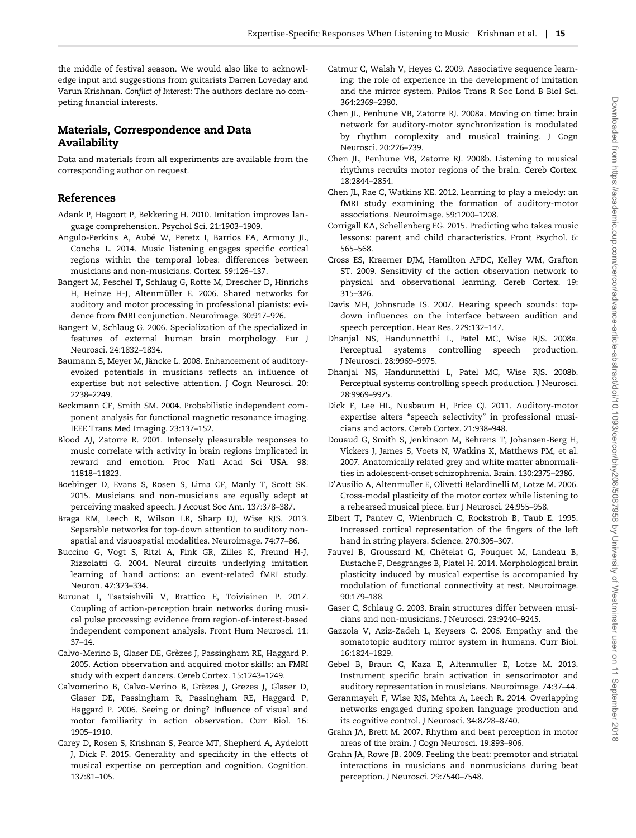<span id="page-14-0"></span>the middle of festival season. We would also like to acknowledge input and suggestions from guitarists Darren Loveday and Varun Krishnan. Conflict of Interest: The authors declare no competing financial interests.

# Materials, Correspondence and Data Availability

Data and materials from all experiments are available from the corresponding author on request.

# References

- Adank P, Hagoort P, Bekkering H. 2010. Imitation improves language comprehension. Psychol Sci. 21:1903–1909.
- Angulo-Perkins A, Aubé W, Peretz I, Barrios FA, Armony JL, Concha L. 2014. Music listening engages specific cortical regions within the temporal lobes: differences between musicians and non-musicians. Cortex. 59:126–137.
- Bangert M, Peschel T, Schlaug G, Rotte M, Drescher D, Hinrichs H, Heinze H-J, Altenmüller E. 2006. Shared networks for auditory and motor processing in professional pianists: evidence from fMRI conjunction. Neuroimage. 30:917–926.
- Bangert M, Schlaug G. 2006. Specialization of the specialized in features of external human brain morphology. Eur J Neurosci. 24:1832–1834.
- Baumann S, Meyer M, Jäncke L. 2008. Enhancement of auditoryevoked potentials in musicians reflects an influence of expertise but not selective attention. J Cogn Neurosci. 20: 2238–2249.
- Beckmann CF, Smith SM. 2004. Probabilistic independent component analysis for functional magnetic resonance imaging. IEEE Trans Med Imaging. 23:137–152.
- Blood AJ, Zatorre R. 2001. Intensely pleasurable responses to music correlate with activity in brain regions implicated in reward and emotion. Proc Natl Acad Sci USA. 98: 11818–11823.
- Boebinger D, Evans S, Rosen S, Lima CF, Manly T, Scott SK. 2015. Musicians and non-musicians are equally adept at perceiving masked speech. J Acoust Soc Am. 137:378–387.
- Braga RM, Leech R, Wilson LR, Sharp DJ, Wise RJS. 2013. Separable networks for top-down attention to auditory nonspatial and visuospatial modalities. Neuroimage. 74:77–86.
- Buccino G, Vogt S, Ritzl A, Fink GR, Zilles K, Freund H-J, Rizzolatti G. 2004. Neural circuits underlying imitation learning of hand actions: an event-related fMRI study. Neuron. 42:323–334.
- Burunat I, Tsatsishvili V, Brattico E, Toiviainen P. 2017. Coupling of action-perception brain networks during musical pulse processing: evidence from region-of-interest-based independent component analysis. Front Hum Neurosci. 11: 37–14.
- Calvo-Merino B, Glaser DE, Grèzes J, Passingham RE, Haggard P. 2005. Action observation and acquired motor skills: an FMRI study with expert dancers. Cereb Cortex. 15:1243–1249.
- Calvomerino B, Calvo-Merino B, Grèzes J, Grezes J, Glaser D, Glaser DE, Passingham R, Passingham RE, Haggard P, Haggard P. 2006. Seeing or doing? Influence of visual and motor familiarity in action observation. Curr Biol. 16: 1905–1910.
- Carey D, Rosen S, Krishnan S, Pearce MT, Shepherd A, Aydelott J, Dick F. 2015. Generality and specificity in the effects of musical expertise on perception and cognition. Cognition. 137:81–105.
- Catmur C, Walsh V, Heyes C. 2009. Associative sequence learning: the role of experience in the development of imitation and the mirror system. Philos Trans R Soc Lond B Biol Sci. 364:2369–2380.
- Chen JL, Penhune VB, Zatorre RJ. 2008a. Moving on time: brain network for auditory-motor synchronization is modulated by rhythm complexity and musical training. J Cogn Neurosci. 20:226–239.
- Chen JL, Penhune VB, Zatorre RJ. 2008b. Listening to musical rhythms recruits motor regions of the brain. Cereb Cortex. 18:2844–2854.
- Chen JL, Rae C, Watkins KE. 2012. Learning to play a melody: an fMRI study examining the formation of auditory-motor associations. Neuroimage. 59:1200–1208.
- Corrigall KA, Schellenberg EG. 2015. Predicting who takes music lessons: parent and child characteristics. Front Psychol. 6: 565–568.
- Cross ES, Kraemer DJM, Hamilton AFDC, Kelley WM, Grafton ST. 2009. Sensitivity of the action observation network to physical and observational learning. Cereb Cortex. 19: 315–326.
- Davis MH, Johnsrude IS. 2007. Hearing speech sounds: topdown influences on the interface between audition and speech perception. Hear Res. 229:132–147.
- Dhanjal NS, Handunnetthi L, Patel MC, Wise RJS. 2008a. Perceptual systems controlling speech production. J Neurosci. 28:9969–9975.
- Dhanjal NS, Handunnetthi L, Patel MC, Wise RJS. 2008b. Perceptual systems controlling speech production. J Neurosci. 28:9969–9975.
- Dick F, Lee HL, Nusbaum H, Price CJ. 2011. Auditory-motor expertise alters "speech selectivity" in professional musicians and actors. Cereb Cortex. 21:938–948.
- Douaud G, Smith S, Jenkinson M, Behrens T, Johansen-Berg H, Vickers J, James S, Voets N, Watkins K, Matthews PM, et al. 2007. Anatomically related grey and white matter abnormalities in adolescent-onset schizophrenia. Brain. 130:2375–2386.
- D'Ausilio A, Altenmuller E, Olivetti Belardinelli M, Lotze M. 2006. Cross-modal plasticity of the motor cortex while listening to a rehearsed musical piece. Eur J Neurosci. 24:955–958.
- Elbert T, Pantev C, Wienbruch C, Rockstroh B, Taub E. 1995. Increased cortical representation of the fingers of the left hand in string players. Science. 270:305–307.
- Fauvel B, Groussard M, Chételat G, Fouquet M, Landeau B, Eustache F, Desgranges B, Platel H. 2014. Morphological brain plasticity induced by musical expertise is accompanied by modulation of functional connectivity at rest. Neuroimage. 90:179–188.
- Gaser C, Schlaug G. 2003. Brain structures differ between musicians and non-musicians. J Neurosci. 23:9240–9245.
- Gazzola V, Aziz-Zadeh L, Keysers C. 2006. Empathy and the somatotopic auditory mirror system in humans. Curr Biol. 16:1824–1829.
- Gebel B, Braun C, Kaza E, Altenmuller E, Lotze M. 2013. Instrument specific brain activation in sensorimotor and auditory representation in musicians. Neuroimage. 74:37–44.
- Geranmayeh F, Wise RJS, Mehta A, Leech R. 2014. Overlapping networks engaged during spoken language production and its cognitive control. J Neurosci. 34:8728–8740.
- Grahn JA, Brett M. 2007. Rhythm and beat perception in motor areas of the brain. J Cogn Neurosci. 19:893–906.
- Grahn JA, Rowe JB. 2009. Feeling the beat: premotor and striatal interactions in musicians and nonmusicians during beat perception. J Neurosci. 29:7540–7548.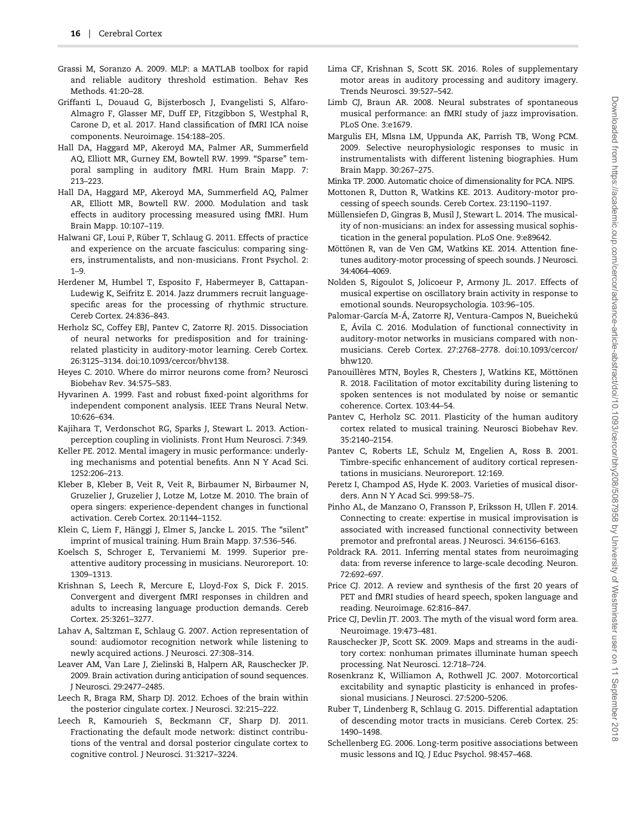- <span id="page-15-0"></span>Grassi M, Soranzo A. 2009. MLP: a MATLAB toolbox for rapid and reliable auditory threshold estimation. Behav Res Methods. 41:20–28.
- Griffanti L, Douaud G, Bijsterbosch J, Evangelisti S, Alfaro-Almagro F, Glasser MF, Duff EP, Fitzgibbon S, Westphal R, Carone D, et al. 2017. Hand classification of fMRI ICA noise components. Neuroimage. 154:188–205.
- Hall DA, Haggard MP, Akeroyd MA, Palmer AR, Summerfield AQ, Elliott MR, Gurney EM, Bowtell RW. 1999. "Sparse" temporal sampling in auditory fMRI. Hum Brain Mapp. 7: 213–223.
- Hall DA, Haggard MP, Akeroyd MA, Summerfield AQ, Palmer AR, Elliott MR, Bowtell RW. 2000. Modulation and task effects in auditory processing measured using fMRI. Hum Brain Mapp. 10:107–119.
- Halwani GF, Loui P, Rüber T, Schlaug G. 2011. Effects of practice and experience on the arcuate fasciculus: comparing singers, instrumentalists, and non-musicians. Front Psychol. 2: 1–9.
- Herdener M, Humbel T, Esposito F, Habermeyer B, Cattapan-Ludewig K, Seifritz E. 2014. Jazz drummers recruit languagespecific areas for the processing of rhythmic structure. Cereb Cortex. 24:836–843.
- Herholz SC, Coffey EBJ, Pantev C, Zatorre RJ. 2015. Dissociation of neural networks for predisposition and for trainingrelated plasticity in auditory-motor learning. Cereb Cortex. 26:3125–3134. [doi:10.1093/cercor/bhv138.](http://dx.doi.org/10.1093/cercor/bhv138)
- Heyes C. 2010. Where do mirror neurons come from? Neurosci Biobehav Rev. 34:575–583.
- Hyvarinen A. 1999. Fast and robust fixed-point algorithms for independent component analysis. IEEE Trans Neural Netw. 10:626–634.
- Kajihara T, Verdonschot RG, Sparks J, Stewart L. 2013. Actionperception coupling in violinists. Front Hum Neurosci. 7:349.
- Keller PE. 2012. Mental imagery in music performance: underlying mechanisms and potential benefits. Ann N Y Acad Sci. 1252:206–213.
- Kleber B, Kleber B, Veit R, Veit R, Birbaumer N, Birbaumer N, Gruzelier J, Gruzelier J, Lotze M, Lotze M. 2010. The brain of opera singers: experience-dependent changes in functional activation. Cereb Cortex. 20:1144–1152.
- Klein C, Liem F, Hänggi J, Elmer S, Jancke L. 2015. The "silent" imprint of musical training. Hum Brain Mapp. 37:536–546.
- Koelsch S, Schroger E, Tervaniemi M. 1999. Superior preattentive auditory processing in musicians. Neuroreport. 10: 1309–1313.
- Krishnan S, Leech R, Mercure E, Lloyd-Fox S, Dick F. 2015. Convergent and divergent fMRI responses in children and adults to increasing language production demands. Cereb Cortex. 25:3261–3277.
- Lahav A, Saltzman E, Schlaug G. 2007. Action representation of sound: audiomotor recognition network while listening to newly acquired actions. J Neurosci. 27:308–314.
- Leaver AM, Van Lare J, Zielinski B, Halpern AR, Rauschecker JP. 2009. Brain activation during anticipation of sound sequences. J Neurosci. 29:2477–2485.
- Leech R, Braga RM, Sharp DJ. 2012. Echoes of the brain within the posterior cingulate cortex. J Neurosci. 32:215–222.
- Leech R, Kamourieh S, Beckmann CF, Sharp DJ. 2011. Fractionating the default mode network: distinct contributions of the ventral and dorsal posterior cingulate cortex to cognitive control. J Neurosci. 31:3217–3224.
- Lima CF, Krishnan S, Scott SK. 2016. Roles of supplementary motor areas in auditory processing and auditory imagery. Trends Neurosci. 39:527–542.
- Limb CJ, Braun AR. 2008. Neural substrates of spontaneous musical performance: an fMRI study of jazz improvisation. PLoS One. 3:e1679.
- Margulis EH, Mlsna LM, Uppunda AK, Parrish TB, Wong PCM. 2009. Selective neurophysiologic responses to music in instrumentalists with different listening biographies. Hum Brain Mapp. 30:267–275.
- Minka TP. 2000. Automatic choice of dimensionality for PCA. NIPS.
- Mottonen R, Dutton R, Watkins KE. 2013. Auditory-motor processing of speech sounds. Cereb Cortex. 23:1190–1197.
- Müllensiefen D, Gingras B, Musil J, Stewart L. 2014. The musicality of non-musicians: an index for assessing musical sophistication in the general population. PLoS One. 9:e89642.
- Möttönen R, van de Ven GM, Watkins KE. 2014. Attention finetunes auditory-motor processing of speech sounds. J Neurosci. 34:4064–4069.
- Nolden S, Rigoulot S, Jolicoeur P, Armony JL. 2017. Effects of musical expertise on oscillatory brain activity in response to emotional sounds. Neuropsychologia. 103:96–105.
- Palomar-García M-Á, Zatorre RJ, Ventura-Campos N, Bueichekú E, Ávila C. 2016. Modulation of functional connectivity in auditory-motor networks in musicians compared with nonmusicians. Cereb Cortex. 27:2768–2778. [doi:10.1093/cercor/](http://dx.doi.org/10.1093/cercor/bhw120) [bhw120](http://dx.doi.org/10.1093/cercor/bhw120).
- Panouillères MTN, Boyles R, Chesters J, Watkins KE, Möttönen R. 2018. Facilitation of motor excitability during listening to spoken sentences is not modulated by noise or semantic coherence. Cortex. 103:44–54.
- Pantev C, Herholz SC. 2011. Plasticity of the human auditory cortex related to musical training. Neurosci Biobehav Rev. 35:2140–2154.
- Pantev C, Roberts LE, Schulz M, Engelien A, Ross B. 2001. Timbre-specific enhancement of auditory cortical representations in musicians. Neuroreport. 12:169.
- Peretz I, Champod AS, Hyde K. 2003. Varieties of musical disorders. Ann N Y Acad Sci. 999:58–75.
- Pinho AL, de Manzano O, Fransson P, Eriksson H, Ullen F. 2014. Connecting to create: expertise in musical improvisation is associated with increased functional connectivity between premotor and prefrontal areas. J Neurosci. 34:6156–6163.
- Poldrack RA. 2011. Inferring mental states from neuroimaging data: from reverse inference to large-scale decoding. Neuron. 72:692–697.
- Price CJ. 2012. A review and synthesis of the first 20 years of PET and fMRI studies of heard speech, spoken language and reading. Neuroimage. 62:816–847.
- Price CJ, Devlin JT. 2003. The myth of the visual word form area. Neuroimage. 19:473–481.
- Rauschecker JP, Scott SK. 2009. Maps and streams in the auditory cortex: nonhuman primates illuminate human speech processing. Nat Neurosci. 12:718–724.
- Rosenkranz K, Williamon A, Rothwell JC. 2007. Motorcortical excitability and synaptic plasticity is enhanced in professional musicians. J Neurosci. 27:5200–5206.
- Ruber T, Lindenberg R, Schlaug G. 2015. Differential adaptation of descending motor tracts in musicians. Cereb Cortex. 25: 1490–1498.
- Schellenberg EG. 2006. Long-term positive associations between music lessons and IQ. J Educ Psychol. 98:457–468.